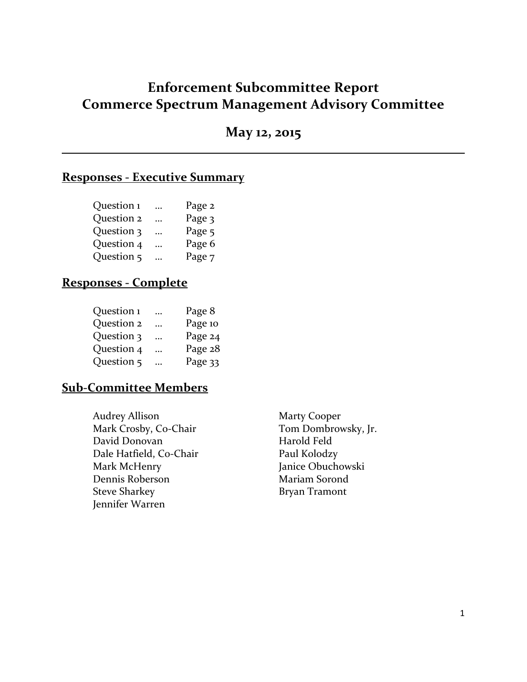# **Enforcement Subcommittee Report Commerce Spectrum Management Advisory Committee**

**May 12, 2015**

## **Responses - Executive Summary**

| Question 1 | $\cdots$ | Page 2 |
|------------|----------|--------|
| Question 2 | $\cdots$ | Page 3 |
| Question 3 | $\cdots$ | Page 5 |
| Question 4 |          | Page 6 |
| Question 5 |          | Page 7 |

## **Responses - Complete**

| $\cdots$  | Page 8  |
|-----------|---------|
| $\ddotsc$ | Page 10 |
| $\cdots$  | Page 24 |
| $\cdots$  | Page 28 |
| .         | Page 33 |
|           |         |

### **Sub-Committee Members**

Audrey Allison Marty Cooper Mark Crosby, Co-Chair Tom Dombrowsky, Jr. David Donovan Harold Feld Dale Hatfield, Co-Chair Paul Kolodzy Mark McHenry Janice Obuchowski Dennis Roberson Mariam Sorond Steve Sharkey **Bryan Tramont** Jennifer Warren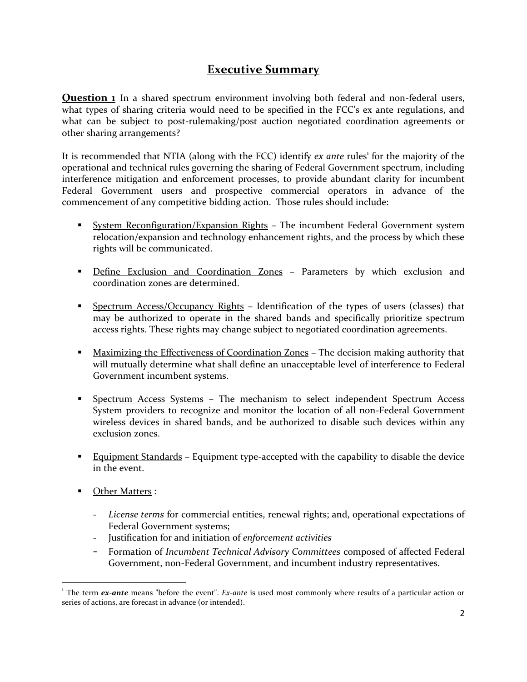# **Executive Summary**

**Question 1** In a shared spectrum environment involving both federal and non-federal users, what types of sharing criteria would need to be specified in the FCC's ex ante regulations, and what can be subject to post-rulemaking/post auction negotiated coordination agreements or other sharing arrangements?

It is recommended that NTIA (along with the FCC) identify *ex ante* rules<sup>1</sup> for the majority of the operational and technical rules governing the sharing of Federal Government spectrum, including interference mitigation and enforcement processes, to provide abundant clarity for incumbent Federal Government users and prospective commercial operators in advance of the commencement of any competitive bidding action. Those rules should include:

- **System Reconfiguration/Expansion Rights The incumbent Federal Government system** relocation/expansion and technology enhancement rights, and the process by which these rights will be communicated.
- Define Exclusion and Coordination Zones Parameters by which exclusion and coordination zones are determined.
- **Spectrum Access/Occupancy Rights Identification of the types of users (classes) that** may be authorized to operate in the shared bands and specifically prioritize spectrum access rights. These rights may change subject to negotiated coordination agreements.
- **Maximizing the Effectiveness of Coordination Zones The decision making authority that** will mutually determine what shall define an unacceptable level of interference to Federal Government incumbent systems.
- **Spectrum Access Systems The mechanism to select independent Spectrum Access** System providers to recognize and monitor the location of all non-Federal Government wireless devices in shared bands, and be authorized to disable such devices within any exclusion zones.
- **Equipment Standards** Equipment type-accepted with the capability to disable the device in the event.
- **Cther Matters :**

 $\overline{\phantom{a}}$ 

- *License terms* for commercial entities, renewal rights; and, operational expectations of Federal Government systems;
- Justification for and initiation of *enforcement activities*
- Formation of *Incumbent Technical Advisory Committees* composed of affected Federal Government, non-Federal Government, and incumbent industry representatives.

<sup>&</sup>lt;sup>1</sup> The term *ex-ante* means "before the event". *Ex-ante* is used most commonly where results of a particular action or series of actions, are forecast in advance (or intended).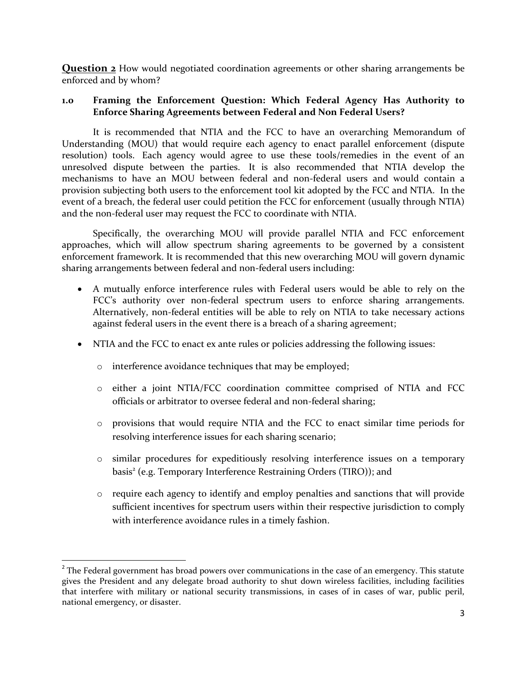**Question 2** How would negotiated coordination agreements or other sharing arrangements be enforced and by whom?

#### **1.0 Framing the Enforcement Question: Which Federal Agency Has Authority to Enforce Sharing Agreements between Federal and Non Federal Users?**

It is recommended that NTIA and the FCC to have an overarching Memorandum of Understanding (MOU) that would require each agency to enact parallel enforcement (dispute resolution) tools. Each agency would agree to use these tools/remedies in the event of an unresolved dispute between the parties. It is also recommended that NTIA develop the mechanisms to have an MOU between federal and non-federal users and would contain a provision subjecting both users to the enforcement tool kit adopted by the FCC and NTIA. In the event of a breach, the federal user could petition the FCC for enforcement (usually through NTIA) and the non-federal user may request the FCC to coordinate with NTIA.

Specifically, the overarching MOU will provide parallel NTIA and FCC enforcement approaches, which will allow spectrum sharing agreements to be governed by a consistent enforcement framework. It is recommended that this new overarching MOU will govern dynamic sharing arrangements between federal and non-federal users including:

- A mutually enforce interference rules with Federal users would be able to rely on the FCC's authority over non-federal spectrum users to enforce sharing arrangements. Alternatively, non-federal entities will be able to rely on NTIA to take necessary actions against federal users in the event there is a breach of a sharing agreement;
- NTIA and the FCC to enact ex ante rules or policies addressing the following issues:
	- o interference avoidance techniques that may be employed;

l

- o either a joint NTIA/FCC coordination committee comprised of NTIA and FCC officials or arbitrator to oversee federal and non-federal sharing;
- o provisions that would require NTIA and the FCC to enact similar time periods for resolving interference issues for each sharing scenario;
- o similar procedures for expeditiously resolving interference issues on a temporary basis<sup>2</sup> (e.g. Temporary Interference Restraining Orders (TIRO)); and
- o require each agency to identify and employ penalties and sanctions that will provide sufficient incentives for spectrum users within their respective jurisdiction to comply with interference avoidance rules in a timely fashion.

 $2^{2}$  The Federal government has broad powers over communications in the case of an emergency. This statute gives the President and any delegate broad authority to shut down wireless facilities, including facilities that interfere with military or national security transmissions, in cases of in cases of war, public peril, national emergency, or disaster.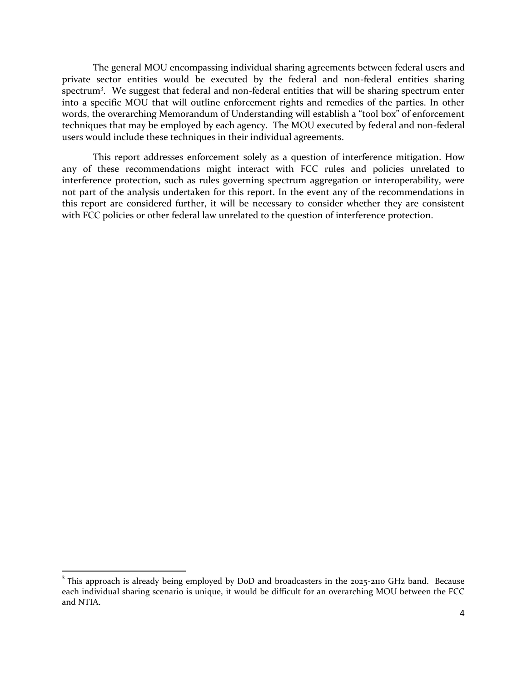The general MOU encompassing individual sharing agreements between federal users and private sector entities would be executed by the federal and non-federal entities sharing spectrum<sup>3</sup>. We suggest that federal and non-federal entities that will be sharing spectrum enter into a specific MOU that will outline enforcement rights and remedies of the parties. In other words, the overarching Memorandum of Understanding will establish a "tool box" of enforcement techniques that may be employed by each agency. The MOU executed by federal and non-federal users would include these techniques in their individual agreements.

This report addresses enforcement solely as a question of interference mitigation. How any of these recommendations might interact with FCC rules and policies unrelated to interference protection, such as rules governing spectrum aggregation or interoperability, were not part of the analysis undertaken for this report. In the event any of the recommendations in this report are considered further, it will be necessary to consider whether they are consistent with FCC policies or other federal law unrelated to the question of interference protection.

 $\overline{a}$ 

<sup>&</sup>lt;sup>3</sup> This approach is already being employed by DoD and broadcasters in the 2025-2110 GHz band. Because each individual sharing scenario is unique, it would be difficult for an overarching MOU between the FCC and NTIA.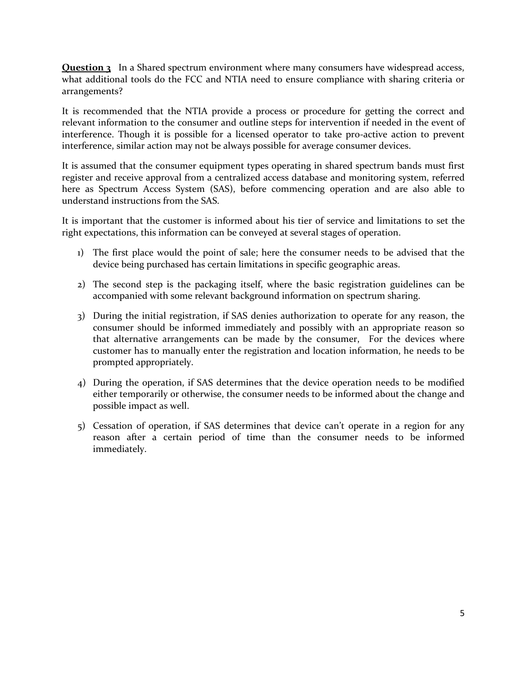**Question 3** In a Shared spectrum environment where many consumers have widespread access, what additional tools do the FCC and NTIA need to ensure compliance with sharing criteria or arrangements?

It is recommended that the NTIA provide a process or procedure for getting the correct and relevant information to the consumer and outline steps for intervention if needed in the event of interference. Though it is possible for a licensed operator to take pro-active action to prevent interference, similar action may not be always possible for average consumer devices.

It is assumed that the consumer equipment types operating in shared spectrum bands must first register and receive approval from a centralized access database and monitoring system, referred here as Spectrum Access System (SAS), before commencing operation and are also able to understand instructions from the SAS.

It is important that the customer is informed about his tier of service and limitations to set the right expectations, this information can be conveyed at several stages of operation.

- 1) The first place would the point of sale; here the consumer needs to be advised that the device being purchased has certain limitations in specific geographic areas.
- 2) The second step is the packaging itself, where the basic registration guidelines can be accompanied with some relevant background information on spectrum sharing.
- 3) During the initial registration, if SAS denies authorization to operate for any reason, the consumer should be informed immediately and possibly with an appropriate reason so that alternative arrangements can be made by the consumer, For the devices where customer has to manually enter the registration and location information, he needs to be prompted appropriately.
- 4) During the operation, if SAS determines that the device operation needs to be modified either temporarily or otherwise, the consumer needs to be informed about the change and possible impact as well.
- 5) Cessation of operation, if SAS determines that device can't operate in a region for any reason after a certain period of time than the consumer needs to be informed immediately.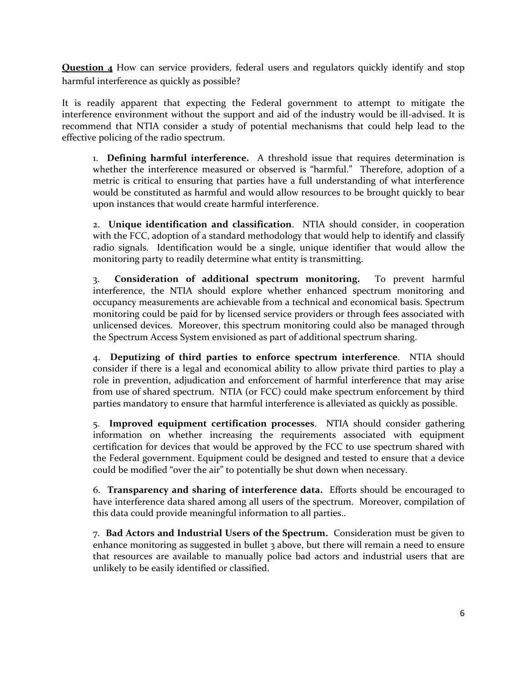**Question 4** How can service providers, federal users and regulators quickly identify and stop harmful interference as quickly as possible?

It is readily apparent that expecting the Federal government to attempt to mitigate the interference environment without the support and aid of the industry would be ill-advised. It is recommend that NTIA consider a study of potential mechanisms that could help lead to the effective policing of the radio spectrum.

1. **Defining harmful interference.** A threshold issue that requires determination is whether the interference measured or observed is "harmful." Therefore, adoption of a metric is critical to ensuring that parties have a full understanding of what interference would be constituted as harmful and would allow resources to be brought quickly to bear upon instances that would create harmful interference.

2. **Unique identification and classification**. NTIA should consider, in cooperation with the FCC, adoption of a standard methodology that would help to identify and classify radio signals. Identification would be a single, unique identifier that would allow the monitoring party to readily determine what entity is transmitting.

3. **Consideration of additional spectrum monitoring.** To prevent harmful interference, the NTIA should explore whether enhanced spectrum monitoring and occupancy measurements are achievable from a technical and economical basis. Spectrum monitoring could be paid for by licensed service providers or through fees associated with unlicensed devices. Moreover, this spectrum monitoring could also be managed through the Spectrum Access System envisioned as part of additional spectrum sharing.

4. **Deputizing of third parties to enforce spectrum interference**. NTIA should consider if there is a legal and economical ability to allow private third parties to play a role in prevention, adjudication and enforcement of harmful interference that may arise from use of shared spectrum. NTIA (or FCC) could make spectrum enforcement by third parties mandatory to ensure that harmful interference is alleviated as quickly as possible.

5. **Improved equipment certification processes**. NTIA should consider gathering information on whether increasing the requirements associated with equipment certification for devices that would be approved by the FCC to use spectrum shared with the Federal government. Equipment could be designed and tested to ensure that a device could be modified "over the air" to potentially be shut down when necessary.

6. **Transparency and sharing of interference data.** Efforts should be encouraged to have interference data shared among all users of the spectrum. Moreover, compilation of this data could provide meaningful information to all parties..

7. **Bad Actors and Industrial Users of the Spectrum.** Consideration must be given to enhance monitoring as suggested in bullet 3 above, but there will remain a need to ensure that resources are available to manually police bad actors and industrial users that are unlikely to be easily identified or classified.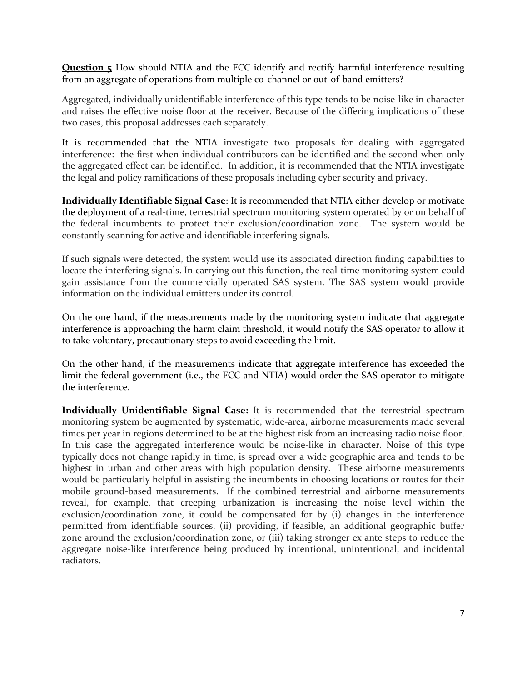**Question 5** How should NTIA and the FCC identify and rectify harmful interference resulting from an aggregate of operations from multiple co-channel or out-of-band emitters?

Aggregated, individually unidentifiable interference of this type tends to be noise-like in character and raises the effective noise floor at the receiver. Because of the differing implications of these two cases, this proposal addresses each separately.

It is recommended that the NTIA investigate two proposals for dealing with aggregated interference: the first when individual contributors can be identified and the second when only the aggregated effect can be identified. In addition, it is recommended that the NTIA investigate the legal and policy ramifications of these proposals including cyber security and privacy.

**Individually Identifiable Signal Case**: It is recommended that NTIA either develop or motivate the deployment of a real-time, terrestrial spectrum monitoring system operated by or on behalf of the federal incumbents to protect their exclusion/coordination zone. The system would be constantly scanning for active and identifiable interfering signals.

If such signals were detected, the system would use its associated direction finding capabilities to locate the interfering signals. In carrying out this function, the real-time monitoring system could gain assistance from the commercially operated SAS system. The SAS system would provide information on the individual emitters under its control.

On the one hand, if the measurements made by the monitoring system indicate that aggregate interference is approaching the harm claim threshold, it would notify the SAS operator to allow it to take voluntary, precautionary steps to avoid exceeding the limit.

On the other hand, if the measurements indicate that aggregate interference has exceeded the limit the federal government (i.e., the FCC and NTIA) would order the SAS operator to mitigate the interference.

**Individually Unidentifiable Signal Case:** It is recommended that the terrestrial spectrum monitoring system be augmented by systematic, wide-area, airborne measurements made several times per year in regions determined to be at the highest risk from an increasing radio noise floor. In this case the aggregated interference would be noise-like in character. Noise of this type typically does not change rapidly in time, is spread over a wide geographic area and tends to be highest in urban and other areas with high population density. These airborne measurements would be particularly helpful in assisting the incumbents in choosing locations or routes for their mobile ground-based measurements. If the combined terrestrial and airborne measurements reveal, for example, that creeping urbanization is increasing the noise level within the exclusion/coordination zone, it could be compensated for by (i) changes in the interference permitted from identifiable sources, (ii) providing, if feasible, an additional geographic buffer zone around the exclusion/coordination zone, or (iii) taking stronger ex ante steps to reduce the aggregate noise-like interference being produced by intentional, unintentional, and incidental radiators.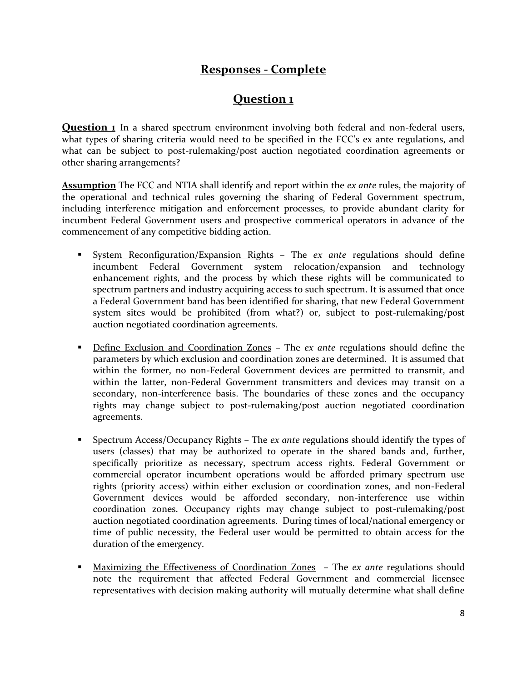## **Responses - Complete**

# **Question 1**

**Question 1** In a shared spectrum environment involving both federal and non-federal users, what types of sharing criteria would need to be specified in the FCC's ex ante regulations, and what can be subject to post-rulemaking/post auction negotiated coordination agreements or other sharing arrangements?

**Assumption** The FCC and NTIA shall identify and report within the *ex ante* rules, the majority of the operational and technical rules governing the sharing of Federal Government spectrum, including interference mitigation and enforcement processes, to provide abundant clarity for incumbent Federal Government users and prospective commerical operators in advance of the commencement of any competitive bidding action.

- System Reconfiguration/Expansion Rights The *ex ante* regulations should define incumbent Federal Government system relocation/expansion and technology enhancement rights, and the process by which these rights will be communicated to spectrum partners and industry acquiring access to such spectrum. It is assumed that once a Federal Government band has been identified for sharing, that new Federal Government system sites would be prohibited (from what?) or, subject to post-rulemaking/post auction negotiated coordination agreements.
- **Define Exclusion and Coordination Zones** The *ex ante* regulations should define the parameters by which exclusion and coordination zones are determined. It is assumed that within the former, no non-Federal Government devices are permitted to transmit, and within the latter, non-Federal Government transmitters and devices may transit on a secondary, non-interference basis. The boundaries of these zones and the occupancy rights may change subject to post-rulemaking/post auction negotiated coordination agreements.
- Spectrum Access/Occupancy Rights The *ex ante* regulations should identify the types of users (classes) that may be authorized to operate in the shared bands and, further, specifically prioritize as necessary, spectrum access rights. Federal Government or commercial operator incumbent operations would be afforded primary spectrum use rights (priority access) within either exclusion or coordination zones, and non-Federal Government devices would be afforded secondary, non-interference use within coordination zones. Occupancy rights may change subject to post-rulemaking/post auction negotiated coordination agreements. During times of local/national emergency or time of public necessity, the Federal user would be permitted to obtain access for the duration of the emergency.
- Maximizing the Effectiveness of Coordination Zones The *ex ante* regulations should note the requirement that affected Federal Government and commercial licensee representatives with decision making authority will mutually determine what shall define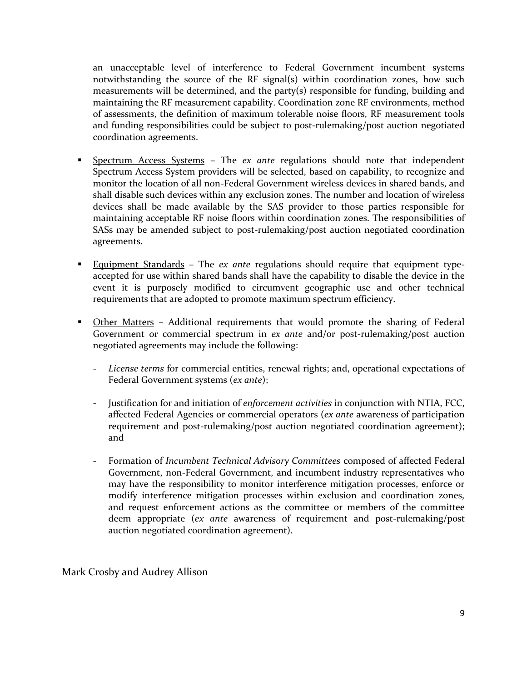an unacceptable level of interference to Federal Government incumbent systems notwithstanding the source of the RF signal(s) within coordination zones, how such measurements will be determined, and the party(s) responsible for funding, building and maintaining the RF measurement capability. Coordination zone RF environments, method of assessments, the definition of maximum tolerable noise floors, RF measurement tools and funding responsibilities could be subject to post-rulemaking/post auction negotiated coordination agreements.

- Spectrum Access Systems The *ex ante* regulations should note that independent Spectrum Access System providers will be selected, based on capability, to recognize and monitor the location of all non-Federal Government wireless devices in shared bands, and shall disable such devices within any exclusion zones. The number and location of wireless devices shall be made available by the SAS provider to those parties responsible for maintaining acceptable RF noise floors within coordination zones. The responsibilities of SASs may be amended subject to post-rulemaking/post auction negotiated coordination agreements.
- Equipment Standards The *ex ante* regulations should require that equipment typeaccepted for use within shared bands shall have the capability to disable the device in the event it is purposely modified to circumvent geographic use and other technical requirements that are adopted to promote maximum spectrum efficiency.
- Other Matters Additional requirements that would promote the sharing of Federal Government or commercial spectrum in *ex ante* and/or post-rulemaking/post auction negotiated agreements may include the following:
	- *License terms* for commercial entities, renewal rights; and, operational expectations of Federal Government systems (*ex ante*);
	- Justification for and initiation of *enforcement activities* in conjunction with NTIA, FCC, affected Federal Agencies or commercial operators (*ex ante* awareness of participation requirement and post-rulemaking/post auction negotiated coordination agreement); and
	- Formation of *Incumbent Technical Advisory Committees* composed of affected Federal Government, non-Federal Government, and incumbent industry representatives who may have the responsibility to monitor interference mitigation processes, enforce or modify interference mitigation processes within exclusion and coordination zones, and request enforcement actions as the committee or members of the committee deem appropriate (*ex ante* awareness of requirement and post-rulemaking/post auction negotiated coordination agreement).

Mark Crosby and Audrey Allison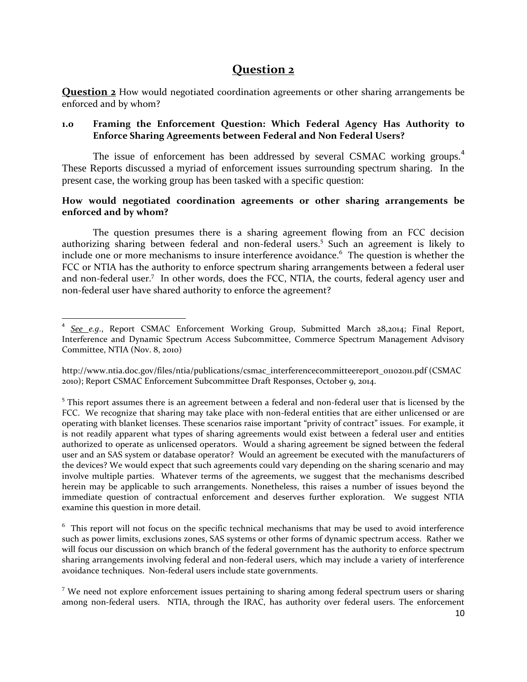## **Question 2**

**Question 2** How would negotiated coordination agreements or other sharing arrangements be enforced and by whom?

#### **1.0 Framing the Enforcement Question: Which Federal Agency Has Authority to Enforce Sharing Agreements between Federal and Non Federal Users?**

The issue of enforcement has been addressed by several CSMAC working groups.<sup>4</sup> These Reports discussed a myriad of enforcement issues surrounding spectrum sharing. In the present case, the working group has been tasked with a specific question:

#### **How would negotiated coordination agreements or other sharing arrangements be enforced and by whom?**

The question presumes there is a sharing agreement flowing from an FCC decision authorizing sharing between federal and non-federal users.<sup>5</sup> Such an agreement is likely to include one or more mechanisms to insure interference avoidance.<sup>6</sup> The question is whether the FCC or NTIA has the authority to enforce spectrum sharing arrangements between a federal user and non-federal user.<sup>7</sup> In other words, does the FCC, NTIA, the courts, federal agency user and non-federal user have shared authority to enforce the agreement?

 $\overline{\phantom{a}}$ 4 *See e.g*., Report CSMAC Enforcement Working Group, Submitted March 28,2014; Final Report, Interference and Dynamic Spectrum Access Subcommittee, Commerce Spectrum Management Advisory Committee, NTIA (Nov. 8, 2010)

http://www.ntia.doc.gov/files/ntia/publications/csmac\_interferencecommitteereport\_01102011.pdf (CSMAC 2010); Report CSMAC Enforcement Subcommittee Draft Responses, October 9, 2014.

<sup>&</sup>lt;sup>5</sup> This report assumes there is an agreement between a federal and non-federal user that is licensed by the FCC. We recognize that sharing may take place with non-federal entities that are either unlicensed or are operating with blanket licenses. These scenarios raise important "privity of contract" issues. For example, it is not readily apparent what types of sharing agreements would exist between a federal user and entities authorized to operate as unlicensed operators. Would a sharing agreement be signed between the federal user and an SAS system or database operator? Would an agreement be executed with the manufacturers of the devices? We would expect that such agreements could vary depending on the sharing scenario and may involve multiple parties. Whatever terms of the agreements, we suggest that the mechanisms described herein may be applicable to such arrangements. Nonetheless, this raises a number of issues beyond the immediate question of contractual enforcement and deserves further exploration. We suggest NTIA examine this question in more detail.

 $6$  This report will not focus on the specific technical mechanisms that may be used to avoid interference such as power limits, exclusions zones, SAS systems or other forms of dynamic spectrum access. Rather we will focus our discussion on which branch of the federal government has the authority to enforce spectrum sharing arrangements involving federal and non-federal users, which may include a variety of interference avoidance techniques. Non-federal users include state governments.

 $7$  We need not explore enforcement issues pertaining to sharing among federal spectrum users or sharing among non-federal users. NTIA, through the IRAC, has authority over federal users. The enforcement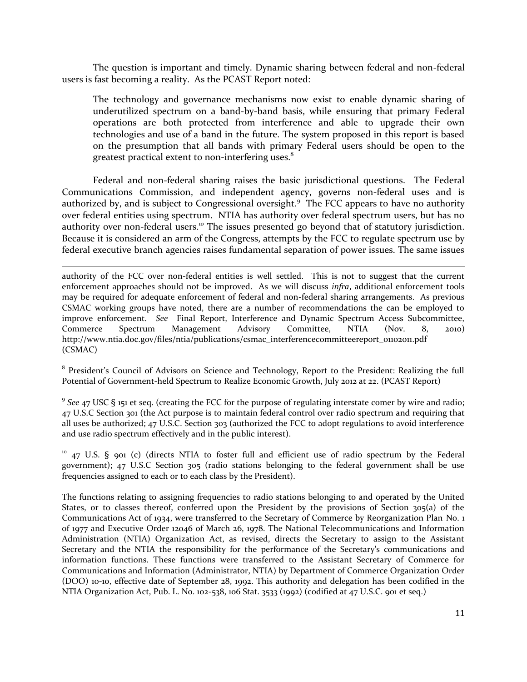The question is important and timely. Dynamic sharing between federal and non-federal users is fast becoming a reality. As the PCAST Report noted:

The technology and governance mechanisms now exist to enable dynamic sharing of underutilized spectrum on a band-by-band basis, while ensuring that primary Federal operations are both protected from interference and able to upgrade their own technologies and use of a band in the future. The system proposed in this report is based on the presumption that all bands with primary Federal users should be open to the greatest practical extent to non-interfering uses.<sup>8</sup>

Federal and non-federal sharing raises the basic jurisdictional questions. The Federal Communications Commission, and independent agency, governs non-federal uses and is authorized by, and is subject to Congressional oversight.<sup>9</sup> The FCC appears to have no authority over federal entities using spectrum. NTIA has authority over federal spectrum users, but has no authority over non-federal users.<sup>10</sup> The issues presented go beyond that of statutory jurisdiction. Because it is considered an arm of the Congress, attempts by the FCC to regulate spectrum use by federal executive branch agencies raises fundamental separation of power issues. The same issues

authority of the FCC over non-federal entities is well settled. This is not to suggest that the current enforcement approaches should not be improved. As we will discuss *infra*, additional enforcement tools may be required for adequate enforcement of federal and non-federal sharing arrangements. As previous CSMAC working groups have noted, there are a number of recommendations the can be employed to improve enforcement. *See* Final Report, Interference and Dynamic Spectrum Access Subcommittee, Commerce Spectrum Management Advisory Committee, NTIA (Nov. 8, 2010) http://www.ntia.doc.gov/files/ntia/publications/csmac\_interferencecommitteereport\_01102011.pdf (CSMAC)

 $\overline{\phantom{a}}$ 

<sup>8</sup> President's Council of Advisors on Science and Technology, Report to the President: Realizing the full Potential of Government-held Spectrum to Realize Economic Growth, July 2012 at 22. (PCAST Report)

<sup>9</sup> See 47 USC § 151 et seq. (creating the FCC for the purpose of regulating interstate comer by wire and radio; 47 U.S.C Section 301 (the Act purpose is to maintain federal control over radio spectrum and requiring that all uses be authorized; 47 U.S.C. Section 303 (authorized the FCC to adopt regulations to avoid interference and use radio spectrum effectively and in the public interest).

<sup>10</sup> 47 U.S. § 901 (c) (directs NTIA to foster full and efficient use of radio spectrum by the Federal government); 47 U.S.C Section 305 (radio stations belonging to the federal government shall be use frequencies assigned to each or to each class by the President).

The functions relating to assigning frequencies to radio stations belonging to and operated by the United States, or to classes thereof, conferred upon the President by the provisions of Section 305(a) of the Communications Act of 1934, were transferred to the Secretary of Commerce by Reorganization Plan No. 1 of 1977 and Executive Order 12046 of March 26, 1978. The National Telecommunications and Information Administration (NTIA) Organization Act, as revised, directs the Secretary to assign to the Assistant Secretary and the NTIA the responsibility for the performance of the Secretary's communications and information functions. These functions were transferred to the Assistant Secretary of Commerce for Communications and Information (Administrator, NTIA) by Department of Commerce Organization Order (DOO) 10-10, effective date of September 28, 1992. This authority and delegation has been codified in the NTIA Organization Act, Pub. L. No. 102-538, 106 Stat. 3533 (1992) (codified at 47 U.S.C. 901 et seq.)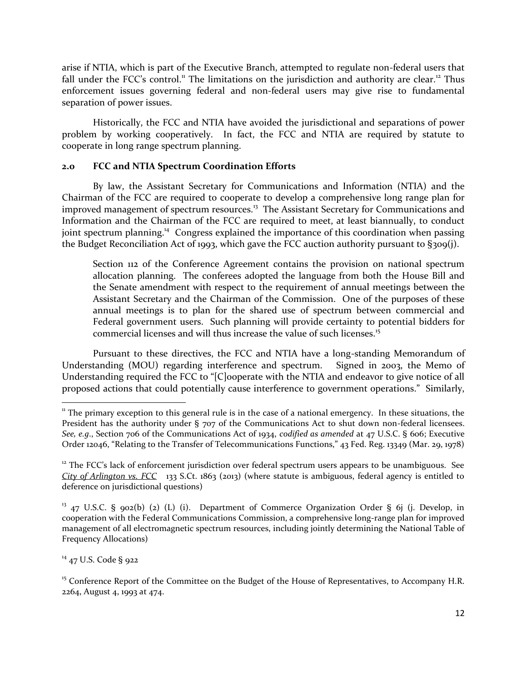arise if NTIA, which is part of the Executive Branch, attempted to regulate non-federal users that fall under the FCC's control.<sup>11</sup> The limitations on the jurisdiction and authority are clear.<sup>12</sup> Thus enforcement issues governing federal and non-federal users may give rise to fundamental separation of power issues.

Historically, the FCC and NTIA have avoided the jurisdictional and separations of power problem by working cooperatively. In fact, the FCC and NTIA are required by statute to cooperate in long range spectrum planning.

#### **2.0 FCC and NTIA Spectrum Coordination Efforts**

By law, the Assistant Secretary for Communications and Information (NTIA) and the Chairman of the FCC are required to cooperate to develop a comprehensive long range plan for improved management of spectrum resources.<sup>13</sup> The Assistant Secretary for Communications and Information and the Chairman of the FCC are required to meet, at least biannually, to conduct joint spectrum planning.<sup>14</sup> Congress explained the importance of this coordination when passing the Budget Reconciliation Act of 1993, which gave the FCC auction authority pursuant to §309(j).

Section 112 of the Conference Agreement contains the provision on national spectrum allocation planning. The conferees adopted the language from both the House Bill and the Senate amendment with respect to the requirement of annual meetings between the Assistant Secretary and the Chairman of the Commission. One of the purposes of these annual meetings is to plan for the shared use of spectrum between commercial and Federal government users. Such planning will provide certainty to potential bidders for commercial licenses and will thus increase the value of such licenses.<sup>15</sup>

Pursuant to these directives, the FCC and NTIA have a long-standing Memorandum of Understanding (MOU) regarding interference and spectrum. Signed in 2003, the Memo of Understanding required the FCC to "[C]ooperate with the NTIA and endeavor to give notice of all proposed actions that could potentially cause interference to government operations." Similarly,

<sup>14</sup> 47 U.S. Code § 922

 $\overline{\phantom{a}}$ 

 $11$  The primary exception to this general rule is in the case of a national emergency. In these situations, the President has the authority under § 707 of the Communications Act to shut down non-federal licensees. *See, e.g*., Section 706 of the Communications Act of 1934, *codified as amended* at 47 U.S.C. § 606; Executive Order 12046, "Relating to the Transfer of Telecommunications Functions," 43 Fed. Reg. 13349 (Mar. 29, 1978)

 $12$  The FCC's lack of enforcement jurisdiction over federal spectrum users appears to be unambiguous. See *City of Arlington vs. FCC* 133 S.Ct. 1863 (2013) (where statute is ambiguous, federal agency is entitled to deference on jurisdictional questions)

<sup>&</sup>lt;sup>13</sup> 47 U.S.C. § 902(b) (2) (L) (i). Department of Commerce Organization Order § 6j (j. Develop, in cooperation with the Federal Communications Commission, a comprehensive long-range plan for improved management of all electromagnetic spectrum resources, including jointly determining the National Table of Frequency Allocations)

<sup>&</sup>lt;sup>15</sup> Conference Report of the Committee on the Budget of the House of Representatives, to Accompany H.R. 2264, August 4, 1993 at 474.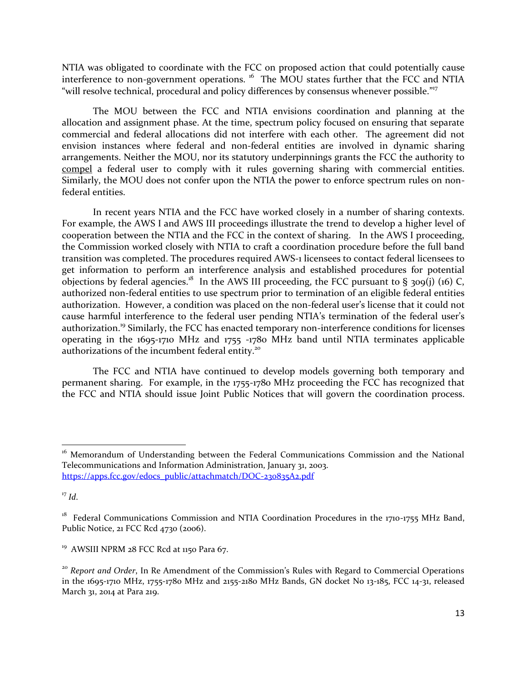NTIA was obligated to coordinate with the FCC on proposed action that could potentially cause interference to non-government operations. <sup>16</sup> The MOU states further that the FCC and NTIA "will resolve technical, procedural and policy differences by consensus whenever possible."<sup>17</sup>

The MOU between the FCC and NTIA envisions coordination and planning at the allocation and assignment phase. At the time, spectrum policy focused on ensuring that separate commercial and federal allocations did not interfere with each other. The agreement did not envision instances where federal and non-federal entities are involved in dynamic sharing arrangements. Neither the MOU, nor its statutory underpinnings grants the FCC the authority to compel a federal user to comply with it rules governing sharing with commercial entities. Similarly, the MOU does not confer upon the NTIA the power to enforce spectrum rules on nonfederal entities.

In recent years NTIA and the FCC have worked closely in a number of sharing contexts. For example, the AWS I and AWS III proceedings illustrate the trend to develop a higher level of cooperation between the NTIA and the FCC in the context of sharing. In the AWS I proceeding, the Commission worked closely with NTIA to craft a coordination procedure before the full band transition was completed. The procedures required AWS-1 licensees to contact federal licensees to get information to perform an interference analysis and established procedures for potential objections by federal agencies.<sup>18</sup> In the AWS III proceeding, the FCC pursuant to § 309(j) (16) C, authorized non-federal entities to use spectrum prior to termination of an eligible federal entities authorization. However, a condition was placed on the non-federal user's license that it could not cause harmful interference to the federal user pending NTIA's termination of the federal user's authorization.<sup>19</sup> Similarly, the FCC has enacted temporary non-interference conditions for licenses operating in the 1695-1710 MHz and 1755 -1780 MHz band until NTIA terminates applicable authorizations of the incumbent federal entity.<sup>20</sup>

The FCC and NTIA have continued to develop models governing both temporary and permanent sharing. For example, in the 1755-1780 MHz proceeding the FCC has recognized that the FCC and NTIA should issue Joint Public Notices that will govern the coordination process.

 $\overline{a}$ 

<sup>&</sup>lt;sup>16</sup> Memorandum of Understanding between the Federal Communications Commission and the National Telecommunications and Information Administration, January 31, 2003. [https://apps.fcc.gov/edocs\\_public/attachmatch/DOC-230835A2.pdf](https://apps.fcc.gov/edocs_public/attachmatch/DOC-230835A2.pdf)

 $17$  *Id.* 

<sup>&</sup>lt;sup>18</sup> Federal Communications Commission and NTIA Coordination Procedures in the 1710-1755 MHz Band, Public Notice, 21 FCC Rcd 4730 (2006).

<sup>&</sup>lt;sup>19</sup> AWSIII NPRM 28 FCC Rcd at 1150 Para 67.

<sup>&</sup>lt;sup>20</sup> *Report and Order*, In Re Amendment of the Commission's Rules with Regard to Commercial Operations in the 1695-1710 MHz, 1755-1780 MHz and 2155-2180 MHz Bands, GN docket No 13-185, FCC 14-31, released March 31, 2014 at Para 219.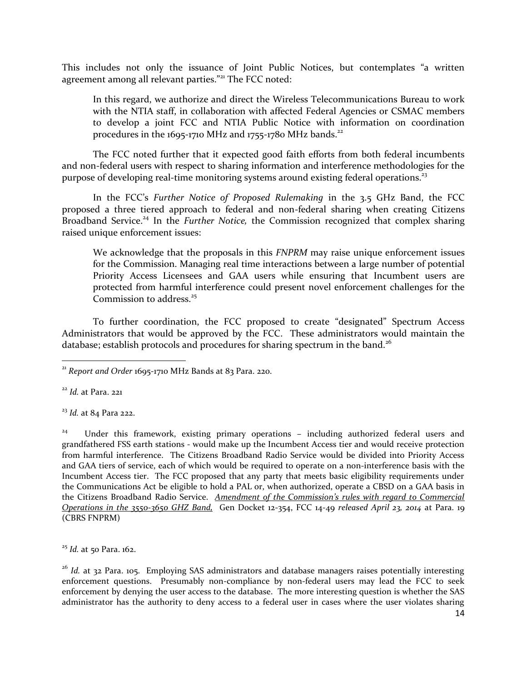This includes not only the issuance of Joint Public Notices, but contemplates "a written agreement among all relevant parties."<sup>21</sup> The FCC noted:

In this regard, we authorize and direct the Wireless Telecommunications Bureau to work with the NTIA staff, in collaboration with affected Federal Agencies or CSMAC members to develop a joint FCC and NTIA Public Notice with information on coordination procedures in the  $1695-1710$  MHz and  $1755-1780$  MHz bands.<sup>22</sup>

The FCC noted further that it expected good faith efforts from both federal incumbents and non-federal users with respect to sharing information and interference methodologies for the purpose of developing real-time monitoring systems around existing federal operations.<sup>23</sup>

In the FCC's *Further Notice of Proposed Rulemaking* in the 3.5 GHz Band, the FCC proposed a three tiered approach to federal and non-federal sharing when creating Citizens Broadband Service.<sup>24</sup> In the *Further Notice*, the Commission recognized that complex sharing raised unique enforcement issues:

We acknowledge that the proposals in this *FNPRM* may raise unique enforcement issues for the Commission. Managing real time interactions between a large number of potential Priority Access Licensees and GAA users while ensuring that Incumbent users are protected from harmful interference could present novel enforcement challenges for the Commission to address.<sup>25</sup>

To further coordination, the FCC proposed to create "designated" Spectrum Access Administrators that would be approved by the FCC. These administrators would maintain the database; establish protocols and procedures for sharing spectrum in the band.<sup>26</sup>

<sup>22</sup> *Id.* at Para. 221

l

<sup>23</sup> *Id.* at 84 Para 222.

24 Under this framework, existing primary operations – including authorized federal users and grandfathered FSS earth stations - would make up the Incumbent Access tier and would receive protection from harmful interference. The Citizens Broadband Radio Service would be divided into Priority Access and GAA tiers of service, each of which would be required to operate on a non-interference basis with the Incumbent Access tier. The FCC proposed that any party that meets basic eligibility requirements under the Communications Act be eligible to hold a PAL or, when authorized, operate a CBSD on a GAA basis in the Citizens Broadband Radio Service. *Amendment of the Commission's rules with regard to Commercial Operations in the 3550-3650 GHZ Band,* Gen Docket 12-354, FCC 14-49 *released April 23, 2014* at Para. 19 (CBRS FNPRM)

<sup>25</sup> *Id.* at 50 Para. 162.

<sup>26</sup> *Id.* at 32 Para. 105. Employing SAS administrators and database managers raises potentially interesting enforcement questions. Presumably non-compliance by non-federal users may lead the FCC to seek enforcement by denying the user access to the database. The more interesting question is whether the SAS administrator has the authority to deny access to a federal user in cases where the user violates sharing

<sup>21</sup> *Report and Order* 1695-1710 MHz Bands at 83 Para. 220.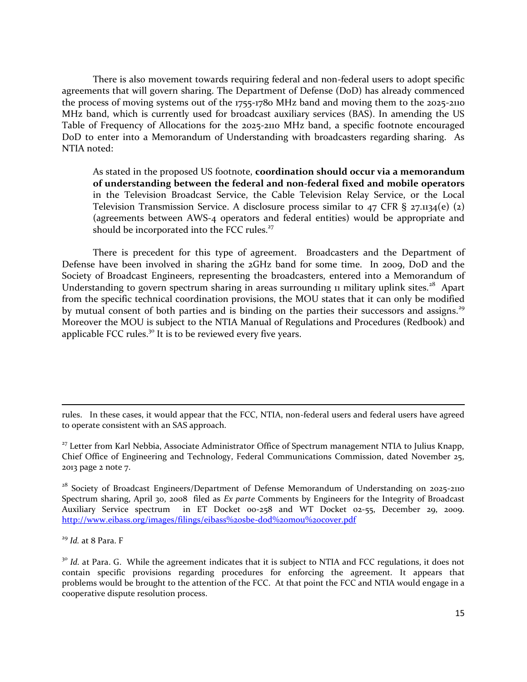There is also movement towards requiring federal and non-federal users to adopt specific agreements that will govern sharing. The Department of Defense (DoD) has already commenced the process of moving systems out of the 1755-1780 MHz band and moving them to the 2025-2110 MHz band, which is currently used for broadcast auxiliary services (BAS). In amending the US Table of Frequency of Allocations for the 2025-2110 MHz band, a specific footnote encouraged DoD to enter into a Memorandum of Understanding with broadcasters regarding sharing. As NTIA noted:

As stated in the proposed US footnote, **coordination should occur via a memorandum of understanding between the federal and non-federal fixed and mobile operators** in the Television Broadcast Service, the Cable Television Relay Service, or the Local Television Transmission Service. A disclosure process similar to  $47$  CFR § 27.1134(e) (2) (agreements between AWS-4 operators and federal entities) would be appropriate and should be incorporated into the FCC rules.<sup>27</sup>

There is precedent for this type of agreement. Broadcasters and the Department of Defense have been involved in sharing the 2GHz band for some time. In 2009, DoD and the Society of Broadcast Engineers, representing the broadcasters, entered into a Memorandum of Understanding to govern spectrum sharing in areas surrounding 11 military uplink sites.<sup>28</sup> Apart from the specific technical coordination provisions, the MOU states that it can only be modified by mutual consent of both parties and is binding on the parties their successors and assigns.<sup>29</sup> Moreover the MOU is subject to the NTIA Manual of Regulations and Procedures (Redbook) and applicable FCC rules.<sup>30</sup> It is to be reviewed every five years.

<sup>29</sup> *Id.* at 8 Para. F

 $\overline{a}$ 

rules. In these cases, it would appear that the FCC, NTIA, non-federal users and federal users have agreed to operate consistent with an SAS approach.

<sup>&</sup>lt;sup>27</sup> Letter from Karl Nebbia, Associate Administrator Office of Spectrum management NTIA to Julius Knapp, Chief Office of Engineering and Technology, Federal Communications Commission, dated November 25, 2013 page 2 note 7.

<sup>&</sup>lt;sup>28</sup> Society of Broadcast Engineers/Department of Defense Memorandum of Understanding on 2025-2110 Spectrum sharing, April 30, 2008 filed as *Ex parte* Comments by Engineers for the Integrity of Broadcast Auxiliary Service spectrum in ET Docket 00-258 and WT Docket 02-55, December 29, 2009. <http://www.eibass.org/images/filings/eibass%20sbe-dod%20mou%20cover.pdf>

<sup>&</sup>lt;sup>30</sup> *Id.* at Para. G. While the agreement indicates that it is subject to NTIA and FCC regulations, it does not contain specific provisions regarding procedures for enforcing the agreement. It appears that problems would be brought to the attention of the FCC. At that point the FCC and NTIA would engage in a cooperative dispute resolution process.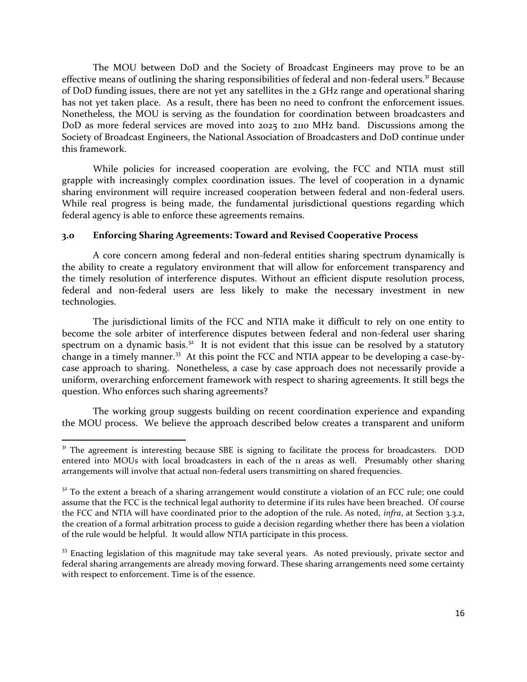The MOU between DoD and the Society of Broadcast Engineers may prove to be an effective means of outlining the sharing responsibilities of federal and non-federal users.<sup>31</sup> Because of DoD funding issues, there are not yet any satellites in the 2 GHz range and operational sharing has not yet taken place. As a result, there has been no need to confront the enforcement issues. Nonetheless, the MOU is serving as the foundation for coordination between broadcasters and DoD as more federal services are moved into 2025 to 2110 MHz band. Discussions among the Society of Broadcast Engineers, the National Association of Broadcasters and DoD continue under this framework.

While policies for increased cooperation are evolving, the FCC and NTIA must still grapple with increasingly complex coordination issues. The level of cooperation in a dynamic sharing environment will require increased cooperation between federal and non-federal users. While real progress is being made, the fundamental jurisdictional questions regarding which federal agency is able to enforce these agreements remains.

#### **3.0 Enforcing Sharing Agreements: Toward and Revised Cooperative Process**

A core concern among federal and non-federal entities sharing spectrum dynamically is the ability to create a regulatory environment that will allow for enforcement transparency and the timely resolution of interference disputes. Without an efficient dispute resolution process, federal and non-federal users are less likely to make the necessary investment in new technologies.

The jurisdictional limits of the FCC and NTIA make it difficult to rely on one entity to become the sole arbiter of interference disputes between federal and non-federal user sharing spectrum on a dynamic basis. $32$  It is not evident that this issue can be resolved by a statutory change in a timely manner.<sup>33</sup> At this point the FCC and NTIA appear to be developing a case-bycase approach to sharing. Nonetheless, a case by case approach does not necessarily provide a uniform, overarching enforcement framework with respect to sharing agreements. It still begs the question. Who enforces such sharing agreements?

The working group suggests building on recent coordination experience and expanding the MOU process. We believe the approach described below creates a transparent and uniform

 $\overline{\phantom{a}}$ 

<sup>&</sup>lt;sup>31</sup> The agreement is interesting because SBE is signing to facilitate the process for broadcasters. DOD entered into MOUs with local broadcasters in each of the 11 areas as well. Presumably other sharing arrangements will involve that actual non-federal users transmitting on shared frequencies.

 $32$  To the extent a breach of a sharing arrangement would constitute a violation of an FCC rule; one could assume that the FCC is the technical legal authority to determine if its rules have been breached. Of course the FCC and NTIA will have coordinated prior to the adoption of the rule. As noted, *infra*, at Section 3.3.2, the creation of a formal arbitration process to guide a decision regarding whether there has been a violation of the rule would be helpful. It would allow NTIA participate in this process.

<sup>&</sup>lt;sup>33</sup> Enacting legislation of this magnitude may take several years. As noted previously, private sector and federal sharing arrangements are already moving forward. These sharing arrangements need some certainty with respect to enforcement. Time is of the essence.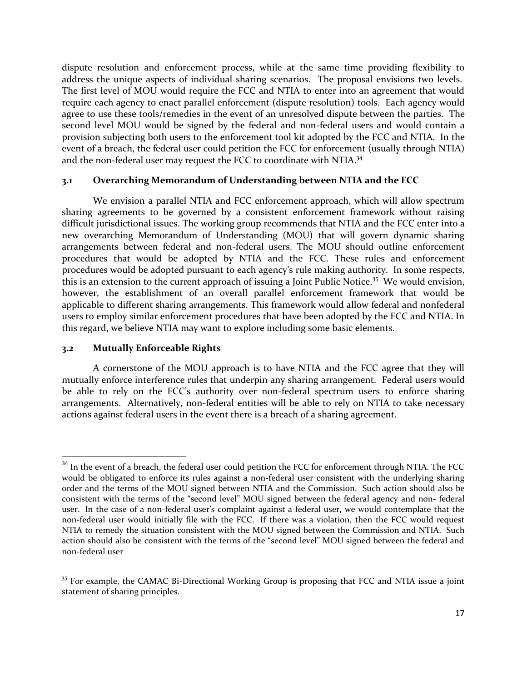dispute resolution and enforcement process, while at the same time providing flexibility to address the unique aspects of individual sharing scenarios. The proposal envisions two levels. The first level of MOU would require the FCC and NTIA to enter into an agreement that would require each agency to enact parallel enforcement (dispute resolution) tools. Each agency would agree to use these tools/remedies in the event of an unresolved dispute between the parties. The second level MOU would be signed by the federal and non-federal users and would contain a provision subjecting both users to the enforcement tool kit adopted by the FCC and NTIA. In the event of a breach, the federal user could petition the FCC for enforcement (usually through NTIA) and the non-federal user may request the FCC to coordinate with NTIA.<sup>34</sup>

#### **3.1 Overarching Memorandum of Understanding between NTIA and the FCC**

We envision a parallel NTIA and FCC enforcement approach, which will allow spectrum sharing agreements to be governed by a consistent enforcement framework without raising difficult jurisdictional issues. The working group recommends that NTIA and the FCC enter into a new overarching Memorandum of Understanding (MOU) that will govern dynamic sharing arrangements between federal and non-federal users. The MOU should outline enforcement procedures that would be adopted by NTIA and the FCC. These rules and enforcement procedures would be adopted pursuant to each agency's rule making authority. In some respects, this is an extension to the current approach of issuing a Joint Public Notice.<sup>35</sup> We would envision, however, the establishment of an overall parallel enforcement framework that would be applicable to different sharing arrangements. This framework would allow federal and nonfederal users to employ similar enforcement procedures that have been adopted by the FCC and NTIA. In this regard, we believe NTIA may want to explore including some basic elements.

#### **3.2 Mutually Enforceable Rights**

l

A cornerstone of the MOU approach is to have NTIA and the FCC agree that they will mutually enforce interference rules that underpin any sharing arrangement. Federal users would be able to rely on the FCC's authority over non-federal spectrum users to enforce sharing arrangements. Alternatively, non-federal entities will be able to rely on NTIA to take necessary actions against federal users in the event there is a breach of a sharing agreement.

<sup>&</sup>lt;sup>34</sup> In the event of a breach, the federal user could petition the FCC for enforcement through NTIA. The FCC would be obligated to enforce its rules against a non-federal user consistent with the underlying sharing order and the terms of the MOU signed between NTIA and the Commission. Such action should also be consistent with the terms of the "second level" MOU signed between the federal agency and non- federal user. In the case of a non-federal user's complaint against a federal user, we would contemplate that the non-federal user would initially file with the FCC. If there was a violation, then the FCC would request NTIA to remedy the situation consistent with the MOU signed between the Commission and NTIA. Such action should also be consistent with the terms of the "second level" MOU signed between the federal and non-federal user

<sup>&</sup>lt;sup>35</sup> For example, the CAMAC Bi-Directional Working Group is proposing that FCC and NTIA issue a joint statement of sharing principles.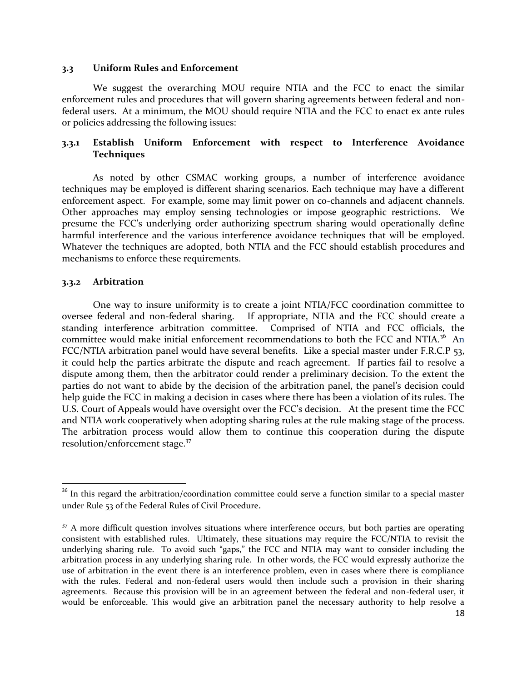#### **3.3 Uniform Rules and Enforcement**

We suggest the overarching MOU require NTIA and the FCC to enact the similar enforcement rules and procedures that will govern sharing agreements between federal and nonfederal users. At a minimum, the MOU should require NTIA and the FCC to enact ex ante rules or policies addressing the following issues:

#### **3.3.1 Establish Uniform Enforcement with respect to Interference Avoidance Techniques**

As noted by other CSMAC working groups, a number of interference avoidance techniques may be employed is different sharing scenarios. Each technique may have a different enforcement aspect. For example, some may limit power on co-channels and adjacent channels. Other approaches may employ sensing technologies or impose geographic restrictions. We presume the FCC's underlying order authorizing spectrum sharing would operationally define harmful interference and the various interference avoidance techniques that will be employed. Whatever the techniques are adopted, both NTIA and the FCC should establish procedures and mechanisms to enforce these requirements.

#### **3.3.2 Arbitration**

 $\overline{\phantom{a}}$ 

One way to insure uniformity is to create a joint NTIA/FCC coordination committee to oversee federal and non-federal sharing. If appropriate, NTIA and the FCC should create a standing interference arbitration committee. Comprised of NTIA and FCC officials, the committee would make initial enforcement recommendations to both the FCC and NTIA.<sup>36</sup> An FCC/NTIA arbitration panel would have several benefits. Like a special master under F.R.C.P 53, it could help the parties arbitrate the dispute and reach agreement. If parties fail to resolve a dispute among them, then the arbitrator could render a preliminary decision. To the extent the parties do not want to abide by the decision of the arbitration panel, the panel's decision could help guide the FCC in making a decision in cases where there has been a violation of its rules. The U.S. Court of Appeals would have oversight over the FCC's decision. At the present time the FCC and NTIA work cooperatively when adopting sharing rules at the rule making stage of the process. The arbitration process would allow them to continue this cooperation during the dispute resolution/enforcement stage.<sup>37</sup>

 $36$  In this regard the arbitration/coordination committee could serve a function similar to a special master under Rule 53 of the Federal Rules of Civil Procedure.

<sup>&</sup>lt;sup>37</sup> A more difficult question involves situations where interference occurs, but both parties are operating consistent with established rules. Ultimately, these situations may require the FCC/NTIA to revisit the underlying sharing rule. To avoid such "gaps," the FCC and NTIA may want to consider including the arbitration process in any underlying sharing rule. In other words, the FCC would expressly authorize the use of arbitration in the event there is an interference problem, even in cases where there is compliance with the rules. Federal and non-federal users would then include such a provision in their sharing agreements. Because this provision will be in an agreement between the federal and non-federal user, it would be enforceable. This would give an arbitration panel the necessary authority to help resolve a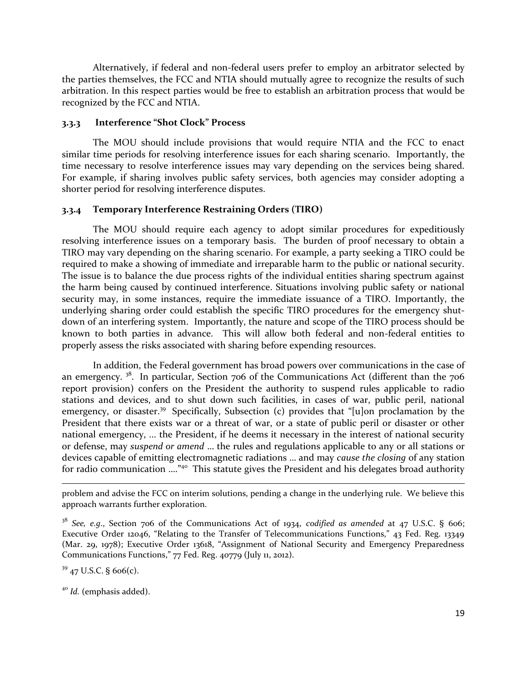Alternatively, if federal and non-federal users prefer to employ an arbitrator selected by the parties themselves, the FCC and NTIA should mutually agree to recognize the results of such arbitration. In this respect parties would be free to establish an arbitration process that would be recognized by the FCC and NTIA.

#### **3.3.3 Interference "Shot Clock" Process**

The MOU should include provisions that would require NTIA and the FCC to enact similar time periods for resolving interference issues for each sharing scenario. Importantly, the time necessary to resolve interference issues may vary depending on the services being shared. For example, if sharing involves public safety services, both agencies may consider adopting a shorter period for resolving interference disputes.

#### **3.3.4 Temporary Interference Restraining Orders (TIRO)**

The MOU should require each agency to adopt similar procedures for expeditiously resolving interference issues on a temporary basis. The burden of proof necessary to obtain a TIRO may vary depending on the sharing scenario. For example, a party seeking a TIRO could be required to make a showing of immediate and irreparable harm to the public or national security. The issue is to balance the due process rights of the individual entities sharing spectrum against the harm being caused by continued interference. Situations involving public safety or national security may, in some instances, require the immediate issuance of a TIRO. Importantly, the underlying sharing order could establish the specific TIRO procedures for the emergency shutdown of an interfering system. Importantly, the nature and scope of the TIRO process should be known to both parties in advance. This will allow both federal and non-federal entities to properly assess the risks associated with sharing before expending resources.

In addition, the Federal government has broad powers over communications in the case of an emergency.<sup>38</sup>. In particular, Section 706 of the Communications Act (different than the 706 report provision) confers on the President the authority to suspend rules applicable to radio stations and devices, and to shut down such facilities, in cases of war, public peril, national emergency, or disaster.<sup>39</sup> Specifically, Subsection (c) provides that "[u]on proclamation by the President that there exists war or a threat of war, or a state of public peril or disaster or other national emergency, ... the President, if he deems it necessary in the interest of national security or defense, may *suspend or amend* … the rules and regulations applicable to any or all stations or devices capable of emitting electromagnetic radiations … and may *cause the closing* of any station for radio communication ....<sup>"40</sup> This statute gives the President and his delegates broad authority

 $39$  47 U.S.C. § 606(c).

 $\overline{a}$ 

problem and advise the FCC on interim solutions, pending a change in the underlying rule. We believe this approach warrants further exploration.

<sup>38</sup> *See, e.g*., Section 706 of the Communications Act of 1934, *codified as amended* at 47 U.S.C. § 606; Executive Order 12046, "Relating to the Transfer of Telecommunications Functions," 43 Fed. Reg. 13349 (Mar. 29, 1978); Executive Order 13618, "Assignment of National Security and Emergency Preparedness Communications Functions," 77 Fed. Reg. 40779 (July 11, 2012).

<sup>40</sup> *Id.* (emphasis added).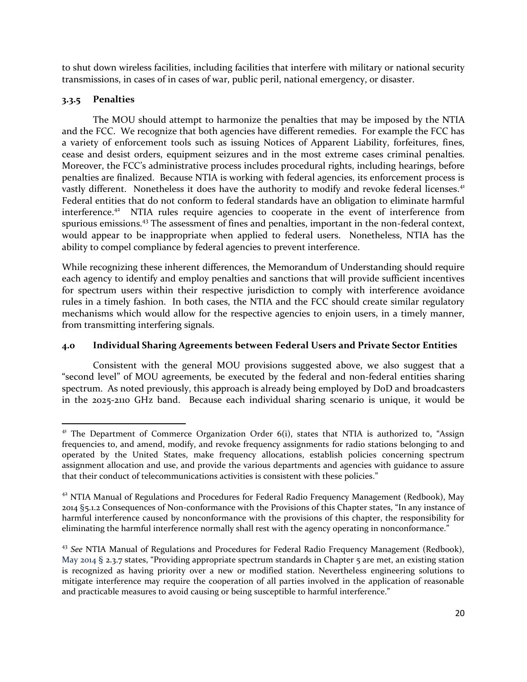to shut down wireless facilities, including facilities that interfere with military or national security transmissions, in cases of in cases of war, public peril, national emergency, or disaster.

### **3.3.5 Penalties**

The MOU should attempt to harmonize the penalties that may be imposed by the NTIA and the FCC. We recognize that both agencies have different remedies. For example the FCC has a variety of enforcement tools such as issuing Notices of Apparent Liability, forfeitures, fines, cease and desist orders, equipment seizures and in the most extreme cases criminal penalties. Moreover, the FCC's administrative process includes procedural rights, including hearings, before penalties are finalized. Because NTIA is working with federal agencies, its enforcement process is vastly different. Nonetheless it does have the authority to modify and revoke federal licenses.<sup>41</sup> Federal entities that do not conform to federal standards have an obligation to eliminate harmful interference.<sup>42</sup> NTIA rules require agencies to cooperate in the event of interference from spurious emissions.<sup>43</sup> The assessment of fines and penalties, important in the non-federal context, would appear to be inappropriate when applied to federal users. Nonetheless, NTIA has the ability to compel compliance by federal agencies to prevent interference.

While recognizing these inherent differences, the Memorandum of Understanding should require each agency to identify and employ penalties and sanctions that will provide sufficient incentives for spectrum users within their respective jurisdiction to comply with interference avoidance rules in a timely fashion. In both cases, the NTIA and the FCC should create similar regulatory mechanisms which would allow for the respective agencies to enjoin users, in a timely manner, from transmitting interfering signals.

#### **4.0 Individual Sharing Agreements between Federal Users and Private Sector Entities**

Consistent with the general MOU provisions suggested above, we also suggest that a "second level" of MOU agreements, be executed by the federal and non-federal entities sharing spectrum. As noted previously, this approach is already being employed by DoD and broadcasters in the 2025-2110 GHz band. Because each individual sharing scenario is unique, it would be

l  $4<sup>1</sup>$  The Department of Commerce Organization Order 6(i), states that NTIA is authorized to, "Assign frequencies to, and amend, modify, and revoke frequency assignments for radio stations belonging to and operated by the United States, make frequency allocations, establish policies concerning spectrum assignment allocation and use, and provide the various departments and agencies with guidance to assure that their conduct of telecommunications activities is consistent with these policies."

<sup>&</sup>lt;sup>42</sup> NTIA Manual of Regulations and Procedures for Federal Radio Frequency Management (Redbook), May 2014 §5.1.2 Consequences of Non-conformance with the Provisions of this Chapter states, "In any instance of harmful interference caused by nonconformance with the provisions of this chapter, the responsibility for eliminating the harmful interference normally shall rest with the agency operating in nonconformance."

<sup>&</sup>lt;sup>43</sup> See NTIA Manual of Regulations and Procedures for Federal Radio Frequency Management (Redbook), May 2014 § 2.3.7 states, "Providing appropriate spectrum standards in Chapter 5 are met, an existing station is recognized as having priority over a new or modified station. Nevertheless engineering solutions to mitigate interference may require the cooperation of all parties involved in the application of reasonable and practicable measures to avoid causing or being susceptible to harmful interference."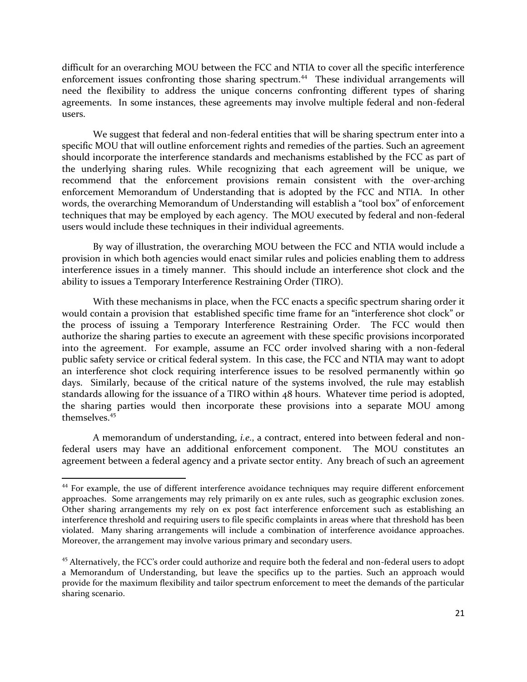difficult for an overarching MOU between the FCC and NTIA to cover all the specific interference enforcement issues confronting those sharing spectrum.<sup>44</sup> These individual arrangements will need the flexibility to address the unique concerns confronting different types of sharing agreements. In some instances, these agreements may involve multiple federal and non-federal users.

We suggest that federal and non-federal entities that will be sharing spectrum enter into a specific MOU that will outline enforcement rights and remedies of the parties. Such an agreement should incorporate the interference standards and mechanisms established by the FCC as part of the underlying sharing rules. While recognizing that each agreement will be unique, we recommend that the enforcement provisions remain consistent with the over-arching enforcement Memorandum of Understanding that is adopted by the FCC and NTIA. In other words, the overarching Memorandum of Understanding will establish a "tool box" of enforcement techniques that may be employed by each agency. The MOU executed by federal and non-federal users would include these techniques in their individual agreements.

By way of illustration, the overarching MOU between the FCC and NTIA would include a provision in which both agencies would enact similar rules and policies enabling them to address interference issues in a timely manner. This should include an interference shot clock and the ability to issues a Temporary Interference Restraining Order (TIRO).

With these mechanisms in place, when the FCC enacts a specific spectrum sharing order it would contain a provision that established specific time frame for an "interference shot clock" or the process of issuing a Temporary Interference Restraining Order. The FCC would then authorize the sharing parties to execute an agreement with these specific provisions incorporated into the agreement. For example, assume an FCC order involved sharing with a non-federal public safety service or critical federal system. In this case, the FCC and NTIA may want to adopt an interference shot clock requiring interference issues to be resolved permanently within 90 days. Similarly, because of the critical nature of the systems involved, the rule may establish standards allowing for the issuance of a TIRO within 48 hours. Whatever time period is adopted, the sharing parties would then incorporate these provisions into a separate MOU among themselves<sup>45</sup>

A memorandum of understanding, *i.e*., a contract, entered into between federal and nonfederal users may have an additional enforcement component. The MOU constitutes an agreement between a federal agency and a private sector entity. Any breach of such an agreement

 $\overline{\phantom{a}}$ 

<sup>44</sup> For example, the use of different interference avoidance techniques may require different enforcement approaches. Some arrangements may rely primarily on ex ante rules, such as geographic exclusion zones. Other sharing arrangements my rely on ex post fact interference enforcement such as establishing an interference threshold and requiring users to file specific complaints in areas where that threshold has been violated. Many sharing arrangements will include a combination of interference avoidance approaches. Moreover, the arrangement may involve various primary and secondary users.

<sup>&</sup>lt;sup>45</sup> Alternatively, the FCC's order could authorize and require both the federal and non-federal users to adopt a Memorandum of Understanding, but leave the specifics up to the parties. Such an approach would provide for the maximum flexibility and tailor spectrum enforcement to meet the demands of the particular sharing scenario.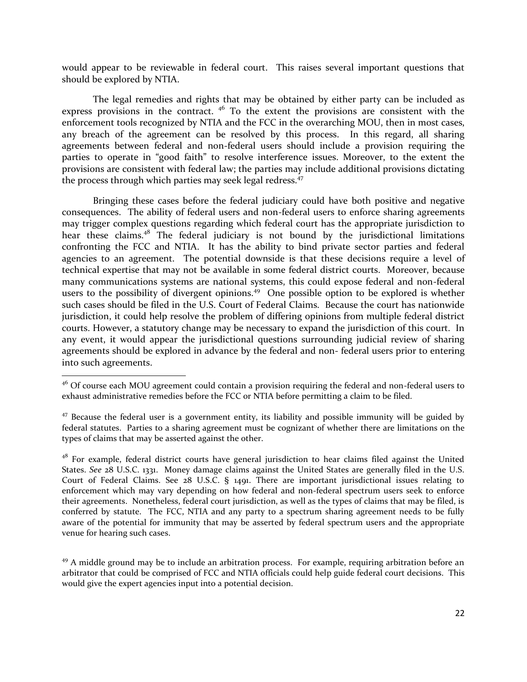would appear to be reviewable in federal court. This raises several important questions that should be explored by NTIA.

The legal remedies and rights that may be obtained by either party can be included as express provisions in the contract.  $4^6$  To the extent the provisions are consistent with the enforcement tools recognized by NTIA and the FCC in the overarching MOU, then in most cases, any breach of the agreement can be resolved by this process. In this regard, all sharing agreements between federal and non-federal users should include a provision requiring the parties to operate in "good faith" to resolve interference issues. Moreover, to the extent the provisions are consistent with federal law; the parties may include additional provisions dictating the process through which parties may seek legal redress.<sup>47</sup>

Bringing these cases before the federal judiciary could have both positive and negative consequences. The ability of federal users and non-federal users to enforce sharing agreements may trigger complex questions regarding which federal court has the appropriate jurisdiction to hear these claims.<sup>48</sup> The federal judiciary is not bound by the jurisdictional limitations confronting the FCC and NTIA. It has the ability to bind private sector parties and federal agencies to an agreement. The potential downside is that these decisions require a level of technical expertise that may not be available in some federal district courts. Moreover, because many communications systems are national systems, this could expose federal and non-federal users to the possibility of divergent opinions.<sup>49</sup> One possible option to be explored is whether such cases should be filed in the U.S. Court of Federal Claims. Because the court has nationwide jurisdiction, it could help resolve the problem of differing opinions from multiple federal district courts. However, a statutory change may be necessary to expand the jurisdiction of this court. In any event, it would appear the jurisdictional questions surrounding judicial review of sharing agreements should be explored in advance by the federal and non- federal users prior to entering into such agreements.

 $\overline{a}$ 

 $49$  A middle ground may be to include an arbitration process. For example, requiring arbitration before an arbitrator that could be comprised of FCC and NTIA officials could help guide federal court decisions. This would give the expert agencies input into a potential decision.

 $4^6$  Of course each MOU agreement could contain a provision requiring the federal and non-federal users to exhaust administrative remedies before the FCC or NTIA before permitting a claim to be filed.

 $47$  Because the federal user is a government entity, its liability and possible immunity will be guided by federal statutes. Parties to a sharing agreement must be cognizant of whether there are limitations on the types of claims that may be asserted against the other.

<sup>&</sup>lt;sup>48</sup> For example, federal district courts have general jurisdiction to hear claims filed against the United States. *See* 28 U.S.C. 1331. Money damage claims against the United States are generally filed in the U.S. Court of Federal Claims. See 28 U.S.C. § 1491. There are important jurisdictional issues relating to enforcement which may vary depending on how federal and non-federal spectrum users seek to enforce their agreements. Nonetheless, federal court jurisdiction, as well as the types of claims that may be filed, is conferred by statute. The FCC, NTIA and any party to a spectrum sharing agreement needs to be fully aware of the potential for immunity that may be asserted by federal spectrum users and the appropriate venue for hearing such cases.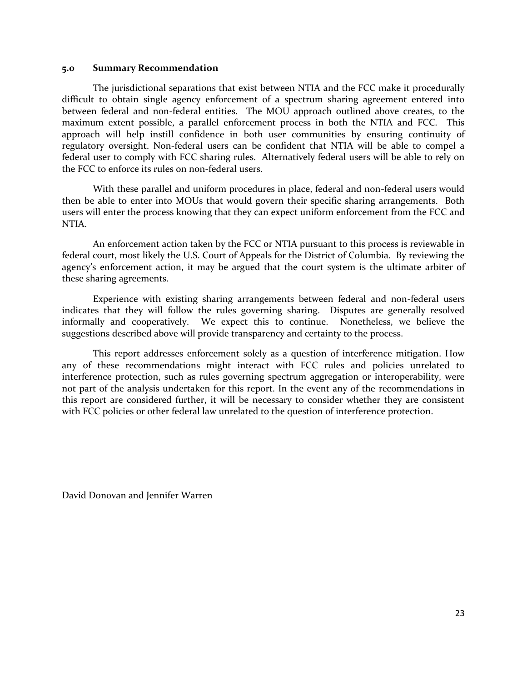#### **5.0 Summary Recommendation**

The jurisdictional separations that exist between NTIA and the FCC make it procedurally difficult to obtain single agency enforcement of a spectrum sharing agreement entered into between federal and non-federal entities. The MOU approach outlined above creates, to the maximum extent possible, a parallel enforcement process in both the NTIA and FCC. This approach will help instill confidence in both user communities by ensuring continuity of regulatory oversight. Non-federal users can be confident that NTIA will be able to compel a federal user to comply with FCC sharing rules. Alternatively federal users will be able to rely on the FCC to enforce its rules on non-federal users.

With these parallel and uniform procedures in place, federal and non-federal users would then be able to enter into MOUs that would govern their specific sharing arrangements. Both users will enter the process knowing that they can expect uniform enforcement from the FCC and NTIA.

An enforcement action taken by the FCC or NTIA pursuant to this process is reviewable in federal court, most likely the U.S. Court of Appeals for the District of Columbia. By reviewing the agency's enforcement action, it may be argued that the court system is the ultimate arbiter of these sharing agreements.

Experience with existing sharing arrangements between federal and non-federal users indicates that they will follow the rules governing sharing. Disputes are generally resolved informally and cooperatively. We expect this to continue. Nonetheless, we believe the suggestions described above will provide transparency and certainty to the process.

This report addresses enforcement solely as a question of interference mitigation. How any of these recommendations might interact with FCC rules and policies unrelated to interference protection, such as rules governing spectrum aggregation or interoperability, were not part of the analysis undertaken for this report. In the event any of the recommendations in this report are considered further, it will be necessary to consider whether they are consistent with FCC policies or other federal law unrelated to the question of interference protection.

David Donovan and Jennifer Warren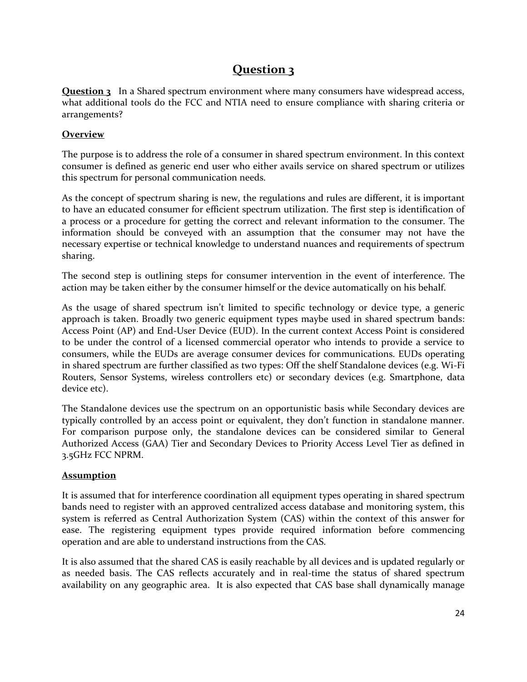# **Question 3**

**Question 3** In a Shared spectrum environment where many consumers have widespread access, what additional tools do the FCC and NTIA need to ensure compliance with sharing criteria or arrangements?

### **Overview**

The purpose is to address the role of a consumer in shared spectrum environment. In this context consumer is defined as generic end user who either avails service on shared spectrum or utilizes this spectrum for personal communication needs.

As the concept of spectrum sharing is new, the regulations and rules are different, it is important to have an educated consumer for efficient spectrum utilization. The first step is identification of a process or a procedure for getting the correct and relevant information to the consumer. The information should be conveyed with an assumption that the consumer may not have the necessary expertise or technical knowledge to understand nuances and requirements of spectrum sharing.

The second step is outlining steps for consumer intervention in the event of interference. The action may be taken either by the consumer himself or the device automatically on his behalf.

As the usage of shared spectrum isn't limited to specific technology or device type, a generic approach is taken. Broadly two generic equipment types maybe used in shared spectrum bands: Access Point (AP) and End-User Device (EUD). In the current context Access Point is considered to be under the control of a licensed commercial operator who intends to provide a service to consumers, while the EUDs are average consumer devices for communications. EUDs operating in shared spectrum are further classified as two types: Off the shelf Standalone devices (e.g. Wi-Fi Routers, Sensor Systems, wireless controllers etc) or secondary devices (e.g. Smartphone, data device etc).

The Standalone devices use the spectrum on an opportunistic basis while Secondary devices are typically controlled by an access point or equivalent, they don't function in standalone manner. For comparison purpose only, the standalone devices can be considered similar to General Authorized Access (GAA) Tier and Secondary Devices to Priority Access Level Tier as defined in 3.5GHz FCC NPRM.

### **Assumption**

It is assumed that for interference coordination all equipment types operating in shared spectrum bands need to register with an approved centralized access database and monitoring system, this system is referred as Central Authorization System (CAS) within the context of this answer for ease. The registering equipment types provide required information before commencing operation and are able to understand instructions from the CAS.

It is also assumed that the shared CAS is easily reachable by all devices and is updated regularly or as needed basis. The CAS reflects accurately and in real-time the status of shared spectrum availability on any geographic area. It is also expected that CAS base shall dynamically manage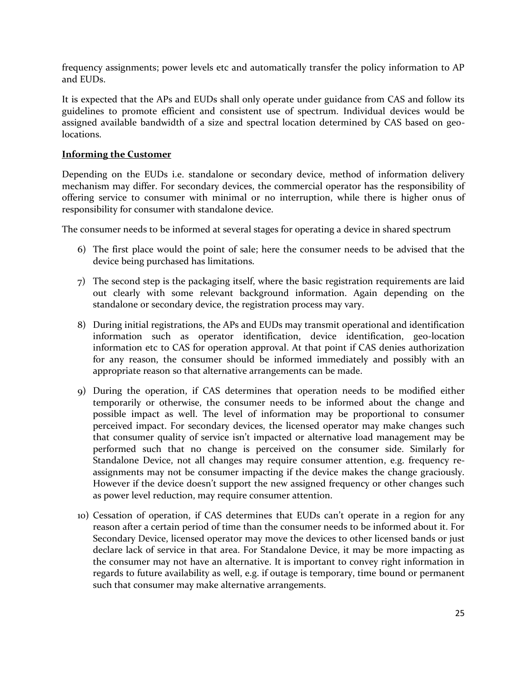frequency assignments; power levels etc and automatically transfer the policy information to AP and EUDs.

It is expected that the APs and EUDs shall only operate under guidance from CAS and follow its guidelines to promote efficient and consistent use of spectrum. Individual devices would be assigned available bandwidth of a size and spectral location determined by CAS based on geolocations.

#### **Informing the Customer**

Depending on the EUDs i.e. standalone or secondary device, method of information delivery mechanism may differ. For secondary devices, the commercial operator has the responsibility of offering service to consumer with minimal or no interruption, while there is higher onus of responsibility for consumer with standalone device.

The consumer needs to be informed at several stages for operating a device in shared spectrum

- 6) The first place would the point of sale; here the consumer needs to be advised that the device being purchased has limitations.
- 7) The second step is the packaging itself, where the basic registration requirements are laid out clearly with some relevant background information. Again depending on the standalone or secondary device, the registration process may vary.
- 8) During initial registrations, the APs and EUDs may transmit operational and identification information such as operator identification, device identification, geo-location information etc to CAS for operation approval. At that point if CAS denies authorization for any reason, the consumer should be informed immediately and possibly with an appropriate reason so that alternative arrangements can be made.
- 9) During the operation, if CAS determines that operation needs to be modified either temporarily or otherwise, the consumer needs to be informed about the change and possible impact as well. The level of information may be proportional to consumer perceived impact. For secondary devices, the licensed operator may make changes such that consumer quality of service isn't impacted or alternative load management may be performed such that no change is perceived on the consumer side. Similarly for Standalone Device, not all changes may require consumer attention, e.g. frequency reassignments may not be consumer impacting if the device makes the change graciously. However if the device doesn't support the new assigned frequency or other changes such as power level reduction, may require consumer attention.
- 10) Cessation of operation, if CAS determines that EUDs can't operate in a region for any reason after a certain period of time than the consumer needs to be informed about it. For Secondary Device, licensed operator may move the devices to other licensed bands or just declare lack of service in that area. For Standalone Device, it may be more impacting as the consumer may not have an alternative. It is important to convey right information in regards to future availability as well, e.g. if outage is temporary, time bound or permanent such that consumer may make alternative arrangements.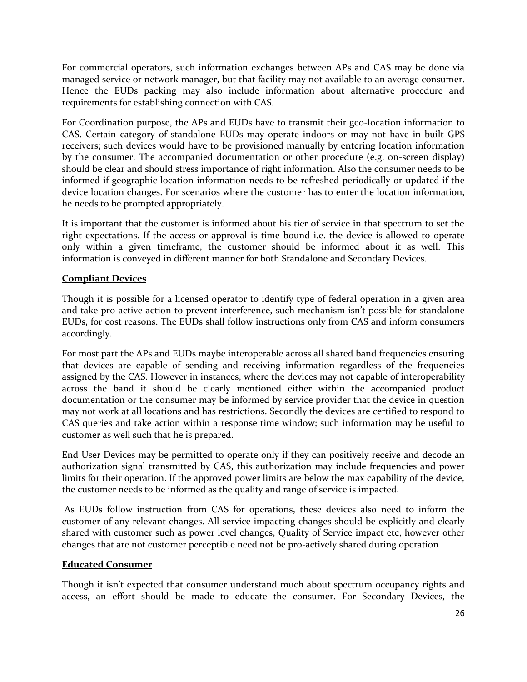For commercial operators, such information exchanges between APs and CAS may be done via managed service or network manager, but that facility may not available to an average consumer. Hence the EUDs packing may also include information about alternative procedure and requirements for establishing connection with CAS.

For Coordination purpose, the APs and EUDs have to transmit their geo-location information to CAS. Certain category of standalone EUDs may operate indoors or may not have in-built GPS receivers; such devices would have to be provisioned manually by entering location information by the consumer. The accompanied documentation or other procedure (e.g. on-screen display) should be clear and should stress importance of right information. Also the consumer needs to be informed if geographic location information needs to be refreshed periodically or updated if the device location changes. For scenarios where the customer has to enter the location information, he needs to be prompted appropriately.

It is important that the customer is informed about his tier of service in that spectrum to set the right expectations. If the access or approval is time-bound i.e. the device is allowed to operate only within a given timeframe, the customer should be informed about it as well. This information is conveyed in different manner for both Standalone and Secondary Devices.

#### **Compliant Devices**

Though it is possible for a licensed operator to identify type of federal operation in a given area and take pro-active action to prevent interference, such mechanism isn't possible for standalone EUDs, for cost reasons. The EUDs shall follow instructions only from CAS and inform consumers accordingly.

For most part the APs and EUDs maybe interoperable across all shared band frequencies ensuring that devices are capable of sending and receiving information regardless of the frequencies assigned by the CAS. However in instances, where the devices may not capable of interoperability across the band it should be clearly mentioned either within the accompanied product documentation or the consumer may be informed by service provider that the device in question may not work at all locations and has restrictions. Secondly the devices are certified to respond to CAS queries and take action within a response time window; such information may be useful to customer as well such that he is prepared.

End User Devices may be permitted to operate only if they can positively receive and decode an authorization signal transmitted by CAS, this authorization may include frequencies and power limits for their operation. If the approved power limits are below the max capability of the device, the customer needs to be informed as the quality and range of service is impacted.

As EUDs follow instruction from CAS for operations, these devices also need to inform the customer of any relevant changes. All service impacting changes should be explicitly and clearly shared with customer such as power level changes, Quality of Service impact etc, however other changes that are not customer perceptible need not be pro-actively shared during operation

#### **Educated Consumer**

Though it isn't expected that consumer understand much about spectrum occupancy rights and access, an effort should be made to educate the consumer. For Secondary Devices, the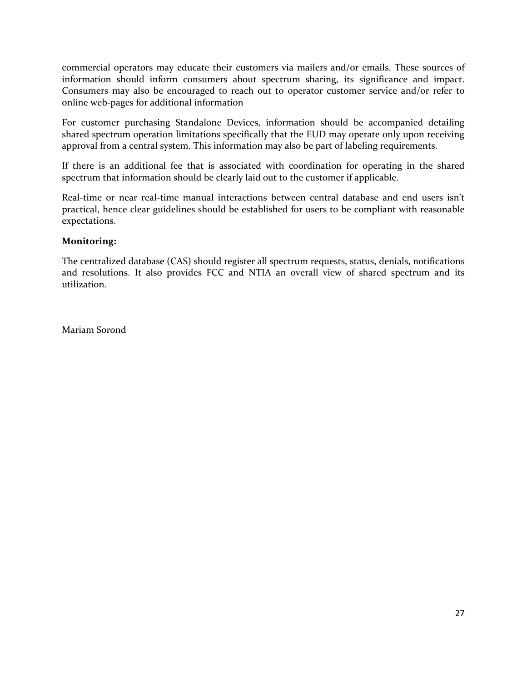commercial operators may educate their customers via mailers and/or emails. These sources of information should inform consumers about spectrum sharing, its significance and impact. Consumers may also be encouraged to reach out to operator customer service and/or refer to online web-pages for additional information

For customer purchasing Standalone Devices, information should be accompanied detailing shared spectrum operation limitations specifically that the EUD may operate only upon receiving approval from a central system. This information may also be part of labeling requirements.

If there is an additional fee that is associated with coordination for operating in the shared spectrum that information should be clearly laid out to the customer if applicable.

Real-time or near real-time manual interactions between central database and end users isn't practical, hence clear guidelines should be established for users to be compliant with reasonable expectations.

### **Monitoring:**

The centralized database (CAS) should register all spectrum requests, status, denials, notifications and resolutions. It also provides FCC and NTIA an overall view of shared spectrum and its utilization.

Mariam Sorond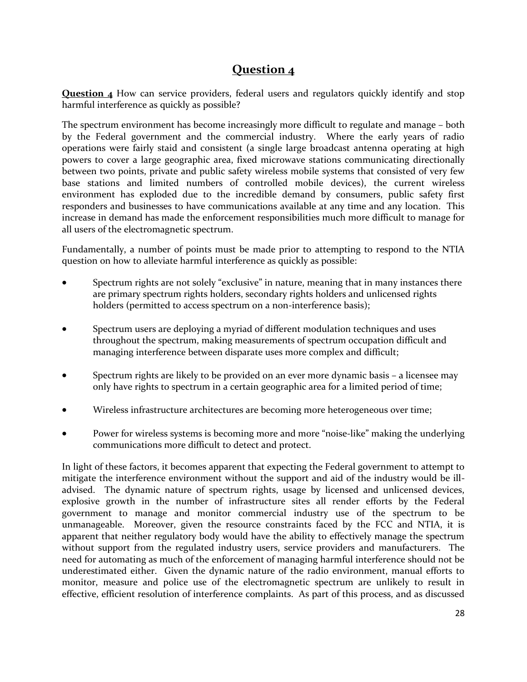# **Question 4**

**Question 4** How can service providers, federal users and regulators quickly identify and stop harmful interference as quickly as possible?

The spectrum environment has become increasingly more difficult to regulate and manage – both by the Federal government and the commercial industry. Where the early years of radio operations were fairly staid and consistent (a single large broadcast antenna operating at high powers to cover a large geographic area, fixed microwave stations communicating directionally between two points, private and public safety wireless mobile systems that consisted of very few base stations and limited numbers of controlled mobile devices), the current wireless environment has exploded due to the incredible demand by consumers, public safety first responders and businesses to have communications available at any time and any location. This increase in demand has made the enforcement responsibilities much more difficult to manage for all users of the electromagnetic spectrum.

Fundamentally, a number of points must be made prior to attempting to respond to the NTIA question on how to alleviate harmful interference as quickly as possible:

- Spectrum rights are not solely "exclusive" in nature, meaning that in many instances there are primary spectrum rights holders, secondary rights holders and unlicensed rights holders (permitted to access spectrum on a non-interference basis);
- Spectrum users are deploying a myriad of different modulation techniques and uses throughout the spectrum, making measurements of spectrum occupation difficult and managing interference between disparate uses more complex and difficult;
- Spectrum rights are likely to be provided on an ever more dynamic basis a licensee may only have rights to spectrum in a certain geographic area for a limited period of time;
- Wireless infrastructure architectures are becoming more heterogeneous over time;
- Power for wireless systems is becoming more and more "noise-like" making the underlying communications more difficult to detect and protect.

In light of these factors, it becomes apparent that expecting the Federal government to attempt to mitigate the interference environment without the support and aid of the industry would be illadvised. The dynamic nature of spectrum rights, usage by licensed and unlicensed devices, explosive growth in the number of infrastructure sites all render efforts by the Federal government to manage and monitor commercial industry use of the spectrum to be unmanageable. Moreover, given the resource constraints faced by the FCC and NTIA, it is apparent that neither regulatory body would have the ability to effectively manage the spectrum without support from the regulated industry users, service providers and manufacturers. The need for automating as much of the enforcement of managing harmful interference should not be underestimated either. Given the dynamic nature of the radio environment, manual efforts to monitor, measure and police use of the electromagnetic spectrum are unlikely to result in effective, efficient resolution of interference complaints. As part of this process, and as discussed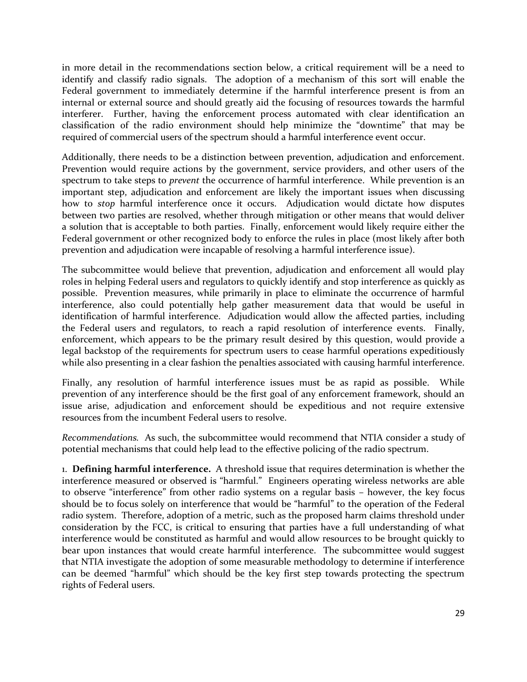in more detail in the recommendations section below, a critical requirement will be a need to identify and classify radio signals. The adoption of a mechanism of this sort will enable the Federal government to immediately determine if the harmful interference present is from an internal or external source and should greatly aid the focusing of resources towards the harmful interferer. Further, having the enforcement process automated with clear identification an classification of the radio environment should help minimize the "downtime" that may be required of commercial users of the spectrum should a harmful interference event occur.

Additionally, there needs to be a distinction between prevention, adjudication and enforcement. Prevention would require actions by the government, service providers, and other users of the spectrum to take steps to *prevent* the occurrence of harmful interference. While prevention is an important step, adjudication and enforcement are likely the important issues when discussing how to *stop* harmful interference once it occurs. Adjudication would dictate how disputes between two parties are resolved, whether through mitigation or other means that would deliver a solution that is acceptable to both parties. Finally, enforcement would likely require either the Federal government or other recognized body to enforce the rules in place (most likely after both prevention and adjudication were incapable of resolving a harmful interference issue).

The subcommittee would believe that prevention, adjudication and enforcement all would play roles in helping Federal users and regulators to quickly identify and stop interference as quickly as possible. Prevention measures, while primarily in place to eliminate the occurrence of harmful interference, also could potentially help gather measurement data that would be useful in identification of harmful interference. Adjudication would allow the affected parties, including the Federal users and regulators, to reach a rapid resolution of interference events. Finally, enforcement, which appears to be the primary result desired by this question, would provide a legal backstop of the requirements for spectrum users to cease harmful operations expeditiously while also presenting in a clear fashion the penalties associated with causing harmful interference.

Finally, any resolution of harmful interference issues must be as rapid as possible. While prevention of any interference should be the first goal of any enforcement framework, should an issue arise, adjudication and enforcement should be expeditious and not require extensive resources from the incumbent Federal users to resolve.

*Recommendations.* As such, the subcommittee would recommend that NTIA consider a study of potential mechanisms that could help lead to the effective policing of the radio spectrum.

1. **Defining harmful interference.** A threshold issue that requires determination is whether the interference measured or observed is "harmful." Engineers operating wireless networks are able to observe "interference" from other radio systems on a regular basis – however, the key focus should be to focus solely on interference that would be "harmful" to the operation of the Federal radio system. Therefore, adoption of a metric, such as the proposed harm claims threshold under consideration by the FCC, is critical to ensuring that parties have a full understanding of what interference would be constituted as harmful and would allow resources to be brought quickly to bear upon instances that would create harmful interference. The subcommittee would suggest that NTIA investigate the adoption of some measurable methodology to determine if interference can be deemed "harmful" which should be the key first step towards protecting the spectrum rights of Federal users.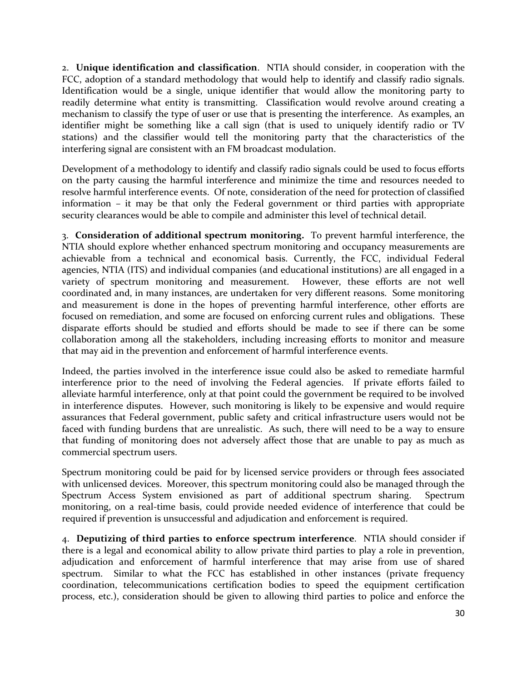2. **Unique identification and classification**. NTIA should consider, in cooperation with the FCC, adoption of a standard methodology that would help to identify and classify radio signals. Identification would be a single, unique identifier that would allow the monitoring party to readily determine what entity is transmitting. Classification would revolve around creating a mechanism to classify the type of user or use that is presenting the interference. As examples, an identifier might be something like a call sign (that is used to uniquely identify radio or TV stations) and the classifier would tell the monitoring party that the characteristics of the interfering signal are consistent with an FM broadcast modulation.

Development of a methodology to identify and classify radio signals could be used to focus efforts on the party causing the harmful interference and minimize the time and resources needed to resolve harmful interference events. Of note, consideration of the need for protection of classified information – it may be that only the Federal government or third parties with appropriate security clearances would be able to compile and administer this level of technical detail.

3. **Consideration of additional spectrum monitoring.** To prevent harmful interference, the NTIA should explore whether enhanced spectrum monitoring and occupancy measurements are achievable from a technical and economical basis. Currently, the FCC, individual Federal agencies, NTIA (ITS) and individual companies (and educational institutions) are all engaged in a variety of spectrum monitoring and measurement. However, these efforts are not well coordinated and, in many instances, are undertaken for very different reasons. Some monitoring and measurement is done in the hopes of preventing harmful interference, other efforts are focused on remediation, and some are focused on enforcing current rules and obligations. These disparate efforts should be studied and efforts should be made to see if there can be some collaboration among all the stakeholders, including increasing efforts to monitor and measure that may aid in the prevention and enforcement of harmful interference events.

Indeed, the parties involved in the interference issue could also be asked to remediate harmful interference prior to the need of involving the Federal agencies. If private efforts failed to alleviate harmful interference, only at that point could the government be required to be involved in interference disputes. However, such monitoring is likely to be expensive and would require assurances that Federal government, public safety and critical infrastructure users would not be faced with funding burdens that are unrealistic. As such, there will need to be a way to ensure that funding of monitoring does not adversely affect those that are unable to pay as much as commercial spectrum users.

Spectrum monitoring could be paid for by licensed service providers or through fees associated with unlicensed devices. Moreover, this spectrum monitoring could also be managed through the Spectrum Access System envisioned as part of additional spectrum sharing. Spectrum monitoring, on a real-time basis, could provide needed evidence of interference that could be required if prevention is unsuccessful and adjudication and enforcement is required.

4. **Deputizing of third parties to enforce spectrum interference**. NTIA should consider if there is a legal and economical ability to allow private third parties to play a role in prevention, adjudication and enforcement of harmful interference that may arise from use of shared spectrum. Similar to what the FCC has established in other instances (private frequency coordination, telecommunications certification bodies to speed the equipment certification process, etc.), consideration should be given to allowing third parties to police and enforce the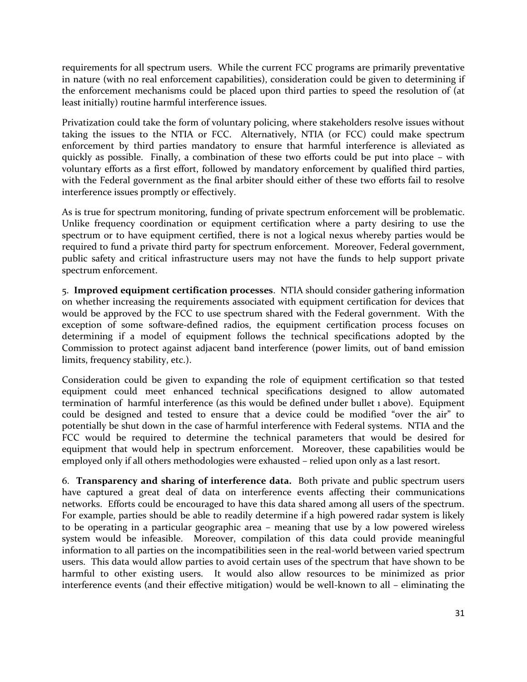requirements for all spectrum users. While the current FCC programs are primarily preventative in nature (with no real enforcement capabilities), consideration could be given to determining if the enforcement mechanisms could be placed upon third parties to speed the resolution of (at least initially) routine harmful interference issues.

Privatization could take the form of voluntary policing, where stakeholders resolve issues without taking the issues to the NTIA or FCC. Alternatively, NTIA (or FCC) could make spectrum enforcement by third parties mandatory to ensure that harmful interference is alleviated as quickly as possible. Finally, a combination of these two efforts could be put into place – with voluntary efforts as a first effort, followed by mandatory enforcement by qualified third parties, with the Federal government as the final arbiter should either of these two efforts fail to resolve interference issues promptly or effectively.

As is true for spectrum monitoring, funding of private spectrum enforcement will be problematic. Unlike frequency coordination or equipment certification where a party desiring to use the spectrum or to have equipment certified, there is not a logical nexus whereby parties would be required to fund a private third party for spectrum enforcement. Moreover, Federal government, public safety and critical infrastructure users may not have the funds to help support private spectrum enforcement.

5. **Improved equipment certification processes**. NTIA should consider gathering information on whether increasing the requirements associated with equipment certification for devices that would be approved by the FCC to use spectrum shared with the Federal government. With the exception of some software-defined radios, the equipment certification process focuses on determining if a model of equipment follows the technical specifications adopted by the Commission to protect against adjacent band interference (power limits, out of band emission limits, frequency stability, etc.).

Consideration could be given to expanding the role of equipment certification so that tested equipment could meet enhanced technical specifications designed to allow automated termination of harmful interference (as this would be defined under bullet 1 above). Equipment could be designed and tested to ensure that a device could be modified "over the air" to potentially be shut down in the case of harmful interference with Federal systems. NTIA and the FCC would be required to determine the technical parameters that would be desired for equipment that would help in spectrum enforcement. Moreover, these capabilities would be employed only if all others methodologies were exhausted – relied upon only as a last resort.

6. **Transparency and sharing of interference data.** Both private and public spectrum users have captured a great deal of data on interference events affecting their communications networks. Efforts could be encouraged to have this data shared among all users of the spectrum. For example, parties should be able to readily determine if a high powered radar system is likely to be operating in a particular geographic area – meaning that use by a low powered wireless system would be infeasible. Moreover, compilation of this data could provide meaningful information to all parties on the incompatibilities seen in the real-world between varied spectrum users. This data would allow parties to avoid certain uses of the spectrum that have shown to be harmful to other existing users. It would also allow resources to be minimized as prior interference events (and their effective mitigation) would be well-known to all – eliminating the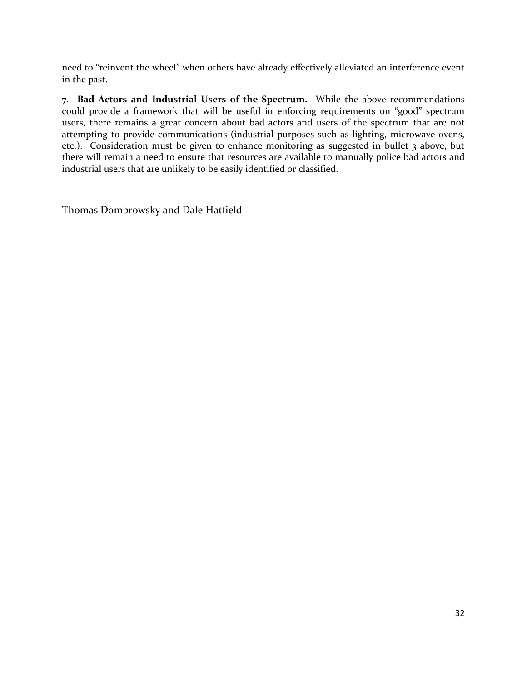need to "reinvent the wheel" when others have already effectively alleviated an interference event in the past.

7. **Bad Actors and Industrial Users of the Spectrum.** While the above recommendations could provide a framework that will be useful in enforcing requirements on "good" spectrum users, there remains a great concern about bad actors and users of the spectrum that are not attempting to provide communications (industrial purposes such as lighting, microwave ovens, etc.). Consideration must be given to enhance monitoring as suggested in bullet 3 above, but there will remain a need to ensure that resources are available to manually police bad actors and industrial users that are unlikely to be easily identified or classified.

Thomas Dombrowsky and Dale Hatfield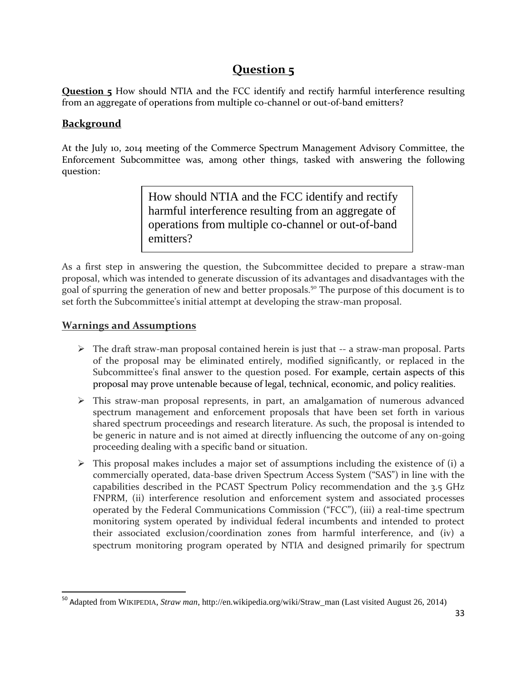# **Question 5**

**Question 5** How should NTIA and the FCC identify and rectify harmful interference resulting from an aggregate of operations from multiple co-channel or out-of-band emitters?

### **Background**

At the July 10, 2014 meeting of the Commerce Spectrum Management Advisory Committee, the Enforcement Subcommittee was, among other things, tasked with answering the following question:

> How should NTIA and the FCC identify and rectify harmful interference resulting from an aggregate of operations from multiple co-channel or out-of-band emitters?

As a first step in answering the question, the Subcommittee decided to prepare a straw-man proposal, which was intended to generate discussion of its advantages and disadvantages with the goal of spurring the generation of new and better proposals.<sup>50</sup> The purpose of this document is to set forth the Subcommittee's initial attempt at developing the straw-man proposal.

### **Warnings and Assumptions**

 $\overline{\phantom{a}}$ 

- $\triangleright$  The draft straw-man proposal contained herein is just that -- a straw-man proposal. Parts of the proposal may be eliminated entirely, modified significantly, or replaced in the Subcommittee's final answer to the question posed. For example, certain aspects of this proposal may prove untenable because of legal, technical, economic, and policy realities.
- This straw-man proposal represents, in part, an amalgamation of numerous advanced spectrum management and enforcement proposals that have been set forth in various shared spectrum proceedings and research literature. As such, the proposal is intended to be generic in nature and is not aimed at directly influencing the outcome of any on-going proceeding dealing with a specific band or situation.
- $\triangleright$  This proposal makes includes a major set of assumptions including the existence of (i) a commercially operated, data-base driven Spectrum Access System ("SAS") in line with the capabilities described in the PCAST Spectrum Policy recommendation and the 3.5 GHz FNPRM, (ii) interference resolution and enforcement system and associated processes operated by the Federal Communications Commission ("FCC"), (iii) a real-time spectrum monitoring system operated by individual federal incumbents and intended to protect their associated exclusion/coordination zones from harmful interference, and (iv) a spectrum monitoring program operated by NTIA and designed primarily for spectrum

<sup>50</sup> Adapted from WIKIPEDIA, *Straw man*, http://en.wikipedia.org/wiki/Straw\_man (Last visited August 26, 2014)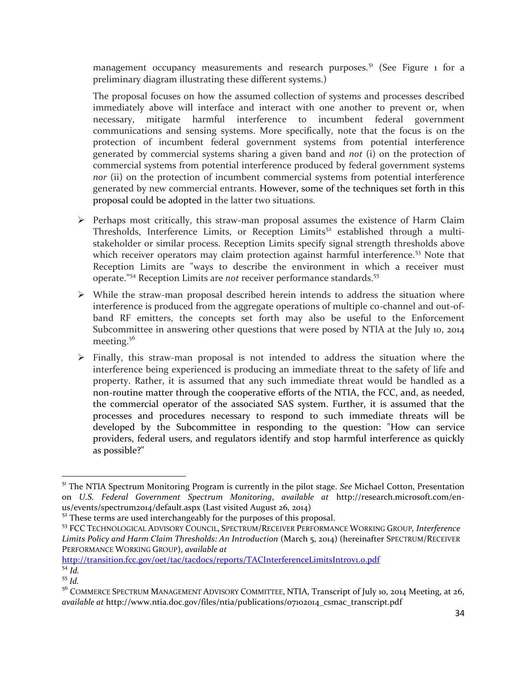management occupancy measurements and research purposes.<sup>51</sup> (See Figure  $_1$  for a preliminary diagram illustrating these different systems.)

The proposal focuses on how the assumed collection of systems and processes described immediately above will interface and interact with one another to prevent or, when necessary, mitigate harmful interference to incumbent federal government communications and sensing systems. More specifically, note that the focus is on the protection of incumbent federal government systems from potential interference generated by commercial systems sharing a given band and *not* (i) on the protection of commercial systems from potential interference produced by federal government systems *nor* (ii) on the protection of incumbent commercial systems from potential interference generated by new commercial entrants. However, some of the techniques set forth in this proposal could be adopted in the latter two situations.

- $\triangleright$  Perhaps most critically, this straw-man proposal assumes the existence of Harm Claim Thresholds, Interference Limits, or Reception Limits<sup>52</sup> established through a multistakeholder or similar process. Reception Limits specify signal strength thresholds above which receiver operators may claim protection against harmful interference.<sup>53</sup> Note that Reception Limits are "ways to describe the environment in which a receiver must operate."<sup>54</sup> Reception Limits are *not* receiver performance standards.<sup>55</sup>
- $\triangleright$  While the straw-man proposal described herein intends to address the situation where interference is produced from the aggregate operations of multiple co-channel and out-ofband RF emitters, the concepts set forth may also be useful to the Enforcement Subcommittee in answering other questions that were posed by NTIA at the July 10, 2014 meeting.<sup>56</sup>
- $\triangleright$  Finally, this straw-man proposal is not intended to address the situation where the interference being experienced is producing an immediate threat to the safety of life and property. Rather, it is assumed that any such immediate threat would be handled as a non-routine matter through the cooperative efforts of the NTIA, the FCC, and, as needed, the commercial operator of the associated SAS system. Further, it is assumed that the processes and procedures necessary to respond to such immediate threats will be developed by the Subcommittee in responding to the question: "How can service providers, federal users, and regulators identify and stop harmful interference as quickly as possible?"

http://transition.fcc.gov/oet/tac/tacdocs/reports/TACInterferenceLimitsIntrov1.o.pdf

 $\overline{\phantom{a}}$ 

<sup>51</sup> The NTIA Spectrum Monitoring Program is currently in the pilot stage. *See* Michael Cotton, Presentation on *U.S. Federal Government Spectrum Monitoring*, *available at* http://research.microsoft.com/enus/events/spectrum2014/default.aspx (Last visited August 26, 2014)

 $52$ <sup>52</sup> These terms are used interchangeably for the purposes of this proposal.

<sup>53</sup> FCC TECHNOLOGICAL ADVISORY COUNCIL, SPECTRUM/RECEIVER PERFORMANCE WORKING GROUP*, Interference Limits Policy and Harm Claim Thresholds: An Introduction* (March 5, 2014) (hereinafter SPECTRUM/RECEIVER PERFORMANCE WORKING GROUP), *available at*

 $54 \overline{Id}$ . <sup>55</sup> *Id.*

<sup>&</sup>lt;sup>56</sup> COMMERCE SPECTRUM MANAGEMENT ADVISORY COMMITTEE, NTIA, Transcript of July 10, 2014 Meeting, at 26, *available at* http://www.ntia.doc.gov/files/ntia/publications/07102014\_csmac\_transcript.pdf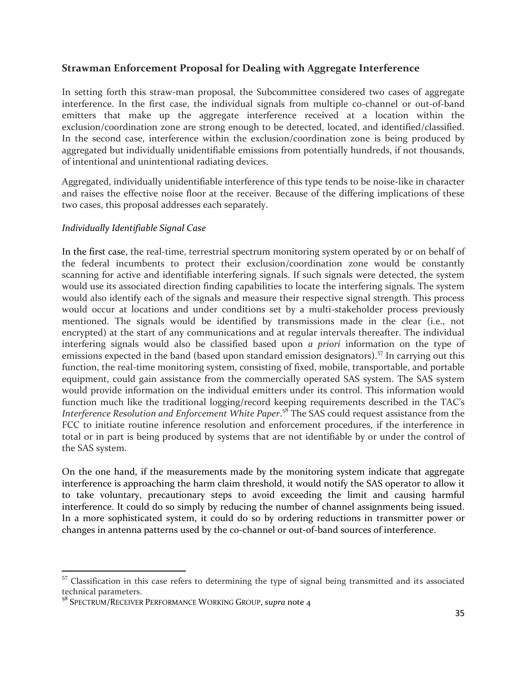### **Strawman Enforcement Proposal for Dealing with Aggregate Interference**

In setting forth this straw-man proposal, the Subcommittee considered two cases of aggregate interference. In the first case, the individual signals from multiple co-channel or out-of-band emitters that make up the aggregate interference received at a location within the exclusion/coordination zone are strong enough to be detected, located, and identified/classified. In the second case, interference within the exclusion/coordination zone is being produced by aggregated but individually unidentifiable emissions from potentially hundreds, if not thousands, of intentional and unintentional radiating devices.

Aggregated, individually unidentifiable interference of this type tends to be noise-like in character and raises the effective noise floor at the receiver. Because of the differing implications of these two cases, this proposal addresses each separately.

#### *Individually Identifiable Signal Case*

In the first case, the real-time, terrestrial spectrum monitoring system operated by or on behalf of the federal incumbents to protect their exclusion/coordination zone would be constantly scanning for active and identifiable interfering signals. If such signals were detected, the system would use its associated direction finding capabilities to locate the interfering signals. The system would also identify each of the signals and measure their respective signal strength. This process would occur at locations and under conditions set by a multi-stakeholder process previously mentioned. The signals would be identified by transmissions made in the clear (i.e., not encrypted) at the start of any communications and at regular intervals thereafter. The individual interfering signals would also be classified based upon *a priori* information on the type of emissions expected in the band (based upon standard emission designators).<sup>57</sup> In carrying out this function, the real-time monitoring system, consisting of fixed, mobile, transportable, and portable equipment, could gain assistance from the commercially operated SAS system. The SAS system would provide information on the individual emitters under its control. This information would function much like the traditional logging/record keeping requirements described in the TAC's *Interference Resolution and Enforcement White Paper*. <sup>58</sup> The SAS could request assistance from the FCC to initiate routine inference resolution and enforcement procedures, if the interference in total or in part is being produced by systems that are not identifiable by or under the control of the SAS system.

On the one hand, if the measurements made by the monitoring system indicate that aggregate interference is approaching the harm claim threshold, it would notify the SAS operator to allow it to take voluntary, precautionary steps to avoid exceeding the limit and causing harmful interference. It could do so simply by reducing the number of channel assignments being issued. In a more sophisticated system, it could do so by ordering reductions in transmitter power or changes in antenna patterns used by the co-channel or out-of-band sources of interference.

 $\overline{a}$ 

<sup>&</sup>lt;sup>57</sup> Classification in this case refers to determining the type of signal being transmitted and its associated technical parameters.

<sup>58</sup> SPECTRUM/RECEIVER PERFORMANCE WORKING GROUP, *supra* note 4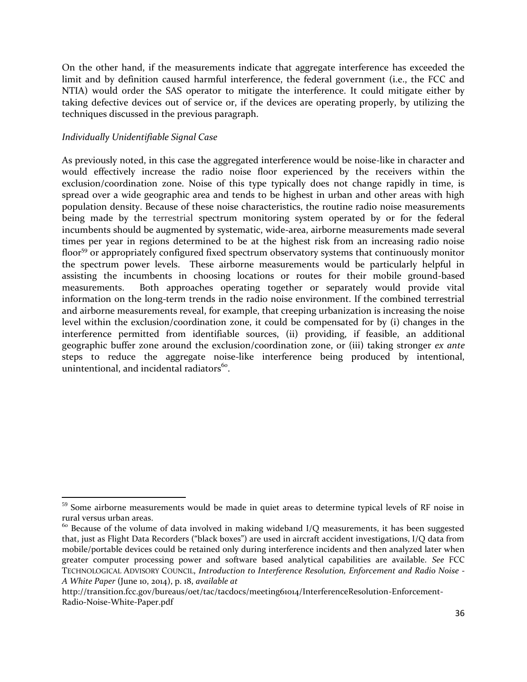On the other hand, if the measurements indicate that aggregate interference has exceeded the limit and by definition caused harmful interference, the federal government (i.e., the FCC and NTIA) would order the SAS operator to mitigate the interference. It could mitigate either by taking defective devices out of service or, if the devices are operating properly, by utilizing the techniques discussed in the previous paragraph.

#### *Individually Unidentifiable Signal Case*

 $\overline{a}$ 

As previously noted, in this case the aggregated interference would be noise-like in character and would effectively increase the radio noise floor experienced by the receivers within the exclusion/coordination zone. Noise of this type typically does not change rapidly in time, is spread over a wide geographic area and tends to be highest in urban and other areas with high population density. Because of these noise characteristics, the routine radio noise measurements being made by the terrestrial spectrum monitoring system operated by or for the federal incumbents should be augmented by systematic, wide-area, airborne measurements made several times per year in regions determined to be at the highest risk from an increasing radio noise floor<sup>59</sup> or appropriately configured fixed spectrum observatory systems that continuously monitor the spectrum power levels. These airborne measurements would be particularly helpful in assisting the incumbents in choosing locations or routes for their mobile ground-based measurements. Both approaches operating together or separately would provide vital information on the long-term trends in the radio noise environment. If the combined terrestrial and airborne measurements reveal, for example, that creeping urbanization is increasing the noise level within the exclusion/coordination zone, it could be compensated for by (i) changes in the interference permitted from identifiable sources, (ii) providing, if feasible, an additional geographic buffer zone around the exclusion/coordination zone, or (iii) taking stronger *ex ante*  steps to reduce the aggregate noise-like interference being produced by intentional, unintentional, and incidental radiators $^{60}$ .

 $59$  Some airborne measurements would be made in quiet areas to determine typical levels of RF noise in rural versus urban areas.

<sup>&</sup>lt;sup>60</sup> Because of the volume of data involved in making wideband I/Q measurements, it has been suggested that, just as Flight Data Recorders ("black boxes") are used in aircraft accident investigations, I/Q data from mobile/portable devices could be retained only during interference incidents and then analyzed later when greater computer processing power and software based analytical capabilities are available. *See* FCC TECHNOLOGICAL ADVISORY COUNCIL, *Introduction to Interference Resolution, Enforcement and Radio Noise - A White Paper* (June 10, 2014), p. 18, *available at*

http://transition.fcc.gov/bureaus/oet/tac/tacdocs/meeting61014/InterferenceResolution-Enforcement-Radio-Noise-White-Paper.pdf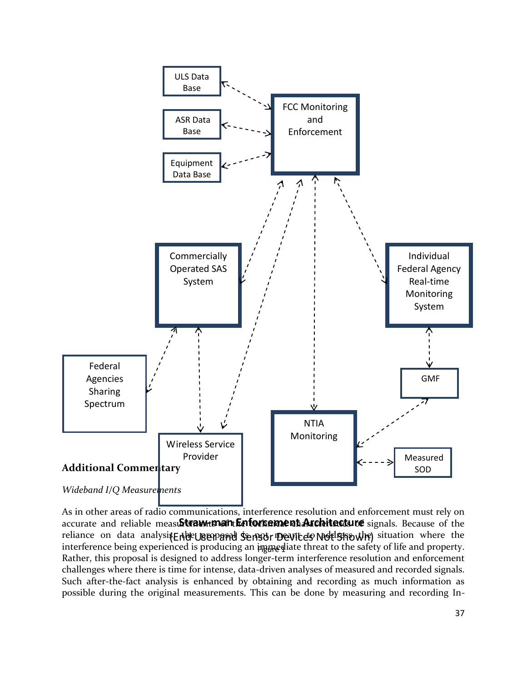

As in other areas of radio communications, interference resolution and enforcement must rely on accurate and reliable meast**StrawtmantEnfortementArchitecture** signals. Because of the reliance on data analysis. Ende UBEY and Sensor Devices Not Shown) situation where the interference being experienced is producing an  $\mu$ ppediate threat to the safety of life and property. Rather, this proposal is designed to address longer-term interference resolution and enforcement challenges where there is time for intense, data-driven analyses of measured and recorded signals. Such after-the-fact analysis is enhanced by obtaining and recording as much information as possible during the original measurements. This can be done by measuring and recording In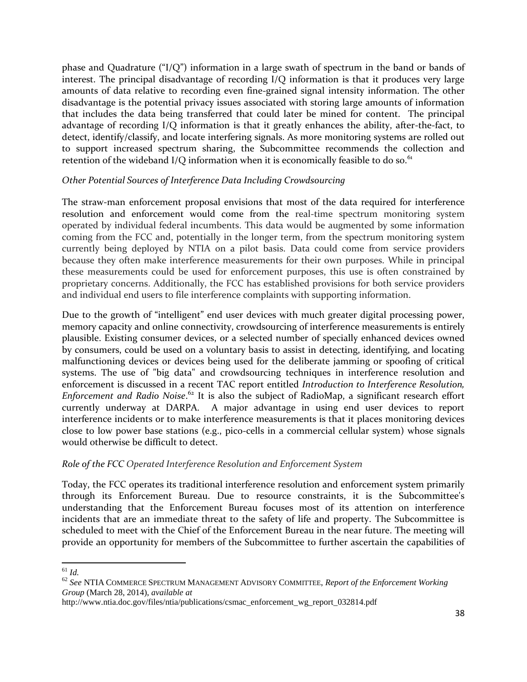phase and Quadrature (" $I/O$ ") information in a large swath of spectrum in the band or bands of interest. The principal disadvantage of recording I/Q information is that it produces very large amounts of data relative to recording even fine-grained signal intensity information. The other disadvantage is the potential privacy issues associated with storing large amounts of information that includes the data being transferred that could later be mined for content. The principal advantage of recording I/Q information is that it greatly enhances the ability, after-the-fact, to detect, identify/classify, and locate interfering signals. As more monitoring systems are rolled out to support increased spectrum sharing, the Subcommittee recommends the collection and retention of the wideband I/Q information when it is economically feasible to do so. $61$ 

### *Other Potential Sources of Interference Data Including Crowdsourcing*

The straw-man enforcement proposal envisions that most of the data required for interference resolution and enforcement would come from the real-time spectrum monitoring system operated by individual federal incumbents. This data would be augmented by some information coming from the FCC and, potentially in the longer term, from the spectrum monitoring system currently being deployed by NTIA on a pilot basis. Data could come from service providers because they often make interference measurements for their own purposes. While in principal these measurements could be used for enforcement purposes, this use is often constrained by proprietary concerns. Additionally, the FCC has established provisions for both service providers and individual end users to file interference complaints with supporting information.

Due to the growth of "intelligent" end user devices with much greater digital processing power, memory capacity and online connectivity, crowdsourcing of interference measurements is entirely plausible. Existing consumer devices, or a selected number of specially enhanced devices owned by consumers, could be used on a voluntary basis to assist in detecting, identifying, and locating malfunctioning devices or devices being used for the deliberate jamming or spoofing of critical systems. The use of "big data" and crowdsourcing techniques in interference resolution and enforcement is discussed in a recent TAC report entitled *Introduction to Interference Resolution, Enforcement and Radio Noise*. <sup>62</sup> It is also the subject of RadioMap, a significant research effort currently underway at DARPA. A major advantage in using end user devices to report interference incidents or to make interference measurements is that it places monitoring devices close to low power base stations (e.g., pico-cells in a commercial cellular system) whose signals would otherwise be difficult to detect.

#### *Role of the FCC Operated Interference Resolution and Enforcement System*

Today, the FCC operates its traditional interference resolution and enforcement system primarily through its Enforcement Bureau. Due to resource constraints, it is the Subcommittee's understanding that the Enforcement Bureau focuses most of its attention on interference incidents that are an immediate threat to the safety of life and property. The Subcommittee is scheduled to meet with the Chief of the Enforcement Bureau in the near future. The meeting will provide an opportunity for members of the Subcommittee to further ascertain the capabilities of

 $\overline{a}$ <sup>61</sup> *Id.* 

<sup>62</sup> *See* NTIA COMMERCE SPECTRUM MANAGEMENT ADVISORY COMMITTEE, *Report of the Enforcement Working Group* (March 28, 2014), *available at*

http://www.ntia.doc.gov/files/ntia/publications/csmac\_enforcement\_wg\_report\_032814.pdf